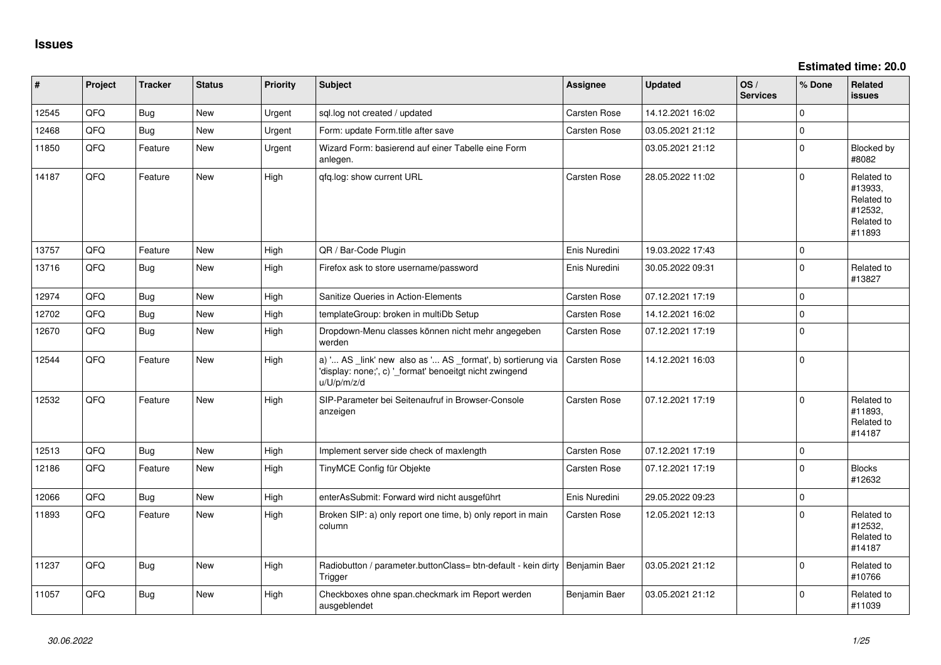**Estimated time: 20.0**

| #     | Project | <b>Tracker</b> | <b>Status</b> | <b>Priority</b> | <b>Subject</b>                                                                                                                        | <b>Assignee</b> | <b>Updated</b>   | OS/<br><b>Services</b> | % Done      | <b>Related</b><br><b>issues</b>                                        |
|-------|---------|----------------|---------------|-----------------|---------------------------------------------------------------------------------------------------------------------------------------|-----------------|------------------|------------------------|-------------|------------------------------------------------------------------------|
| 12545 | QFQ     | Bug            | New           | Urgent          | sql.log not created / updated                                                                                                         | Carsten Rose    | 14.12.2021 16:02 |                        | $\Omega$    |                                                                        |
| 12468 | QFQ     | Bug            | New           | Urgent          | Form: update Form.title after save                                                                                                    | Carsten Rose    | 03.05.2021 21:12 |                        | $\mathbf 0$ |                                                                        |
| 11850 | QFQ     | Feature        | <b>New</b>    | Urgent          | Wizard Form: basierend auf einer Tabelle eine Form<br>anlegen.                                                                        |                 | 03.05.2021 21:12 |                        | $\mathbf 0$ | Blocked by<br>#8082                                                    |
| 14187 | QFQ     | Feature        | New           | High            | qfq.log: show current URL                                                                                                             | Carsten Rose    | 28.05.2022 11:02 |                        | $\mathbf 0$ | Related to<br>#13933,<br>Related to<br>#12532,<br>Related to<br>#11893 |
| 13757 | QFQ     | Feature        | New           | High            | QR / Bar-Code Plugin                                                                                                                  | Enis Nuredini   | 19.03.2022 17:43 |                        | $\mathbf 0$ |                                                                        |
| 13716 | QFQ     | <b>Bug</b>     | <b>New</b>    | High            | Firefox ask to store username/password                                                                                                | Enis Nuredini   | 30.05.2022 09:31 |                        | $\mathbf 0$ | Related to<br>#13827                                                   |
| 12974 | QFQ     | Bug            | <b>New</b>    | High            | Sanitize Queries in Action-Elements                                                                                                   | Carsten Rose    | 07.12.2021 17:19 |                        | $\mathbf 0$ |                                                                        |
| 12702 | QFQ     | Bug            | New           | High            | templateGroup: broken in multiDb Setup                                                                                                | Carsten Rose    | 14.12.2021 16:02 |                        | $\mathsf 0$ |                                                                        |
| 12670 | QFQ     | <b>Bug</b>     | New           | High            | Dropdown-Menu classes können nicht mehr angegeben<br>werden                                                                           | Carsten Rose    | 07.12.2021 17:19 |                        | $\mathbf 0$ |                                                                        |
| 12544 | QFQ     | Feature        | New           | High            | a) ' AS _link' new also as ' AS _format', b) sortierung via<br>'display: none;', c) '_format' benoeitgt nicht zwingend<br>u/U/p/m/z/d | Carsten Rose    | 14.12.2021 16:03 |                        | $\pmb{0}$   |                                                                        |
| 12532 | QFQ     | Feature        | New           | High            | SIP-Parameter bei Seitenaufruf in Browser-Console<br>anzeigen                                                                         | Carsten Rose    | 07.12.2021 17:19 |                        | $\mathbf 0$ | Related to<br>#11893,<br>Related to<br>#14187                          |
| 12513 | QFQ     | <b>Bug</b>     | <b>New</b>    | High            | Implement server side check of maxlength                                                                                              | Carsten Rose    | 07.12.2021 17:19 |                        | $\pmb{0}$   |                                                                        |
| 12186 | QFQ     | Feature        | New           | High            | TinyMCE Config für Objekte                                                                                                            | Carsten Rose    | 07.12.2021 17:19 |                        | $\mathbf 0$ | <b>Blocks</b><br>#12632                                                |
| 12066 | QFQ     | <b>Bug</b>     | New           | High            | enterAsSubmit: Forward wird nicht ausgeführt                                                                                          | Enis Nuredini   | 29.05.2022 09:23 |                        | $\mathbf 0$ |                                                                        |
| 11893 | QFQ     | Feature        | New           | High            | Broken SIP: a) only report one time, b) only report in main<br>column                                                                 | Carsten Rose    | 12.05.2021 12:13 |                        | $\Omega$    | Related to<br>#12532,<br>Related to<br>#14187                          |
| 11237 | QFQ     | <b>Bug</b>     | New           | High            | Radiobutton / parameter.buttonClass= btn-default - kein dirty<br>Trigger                                                              | Benjamin Baer   | 03.05.2021 21:12 |                        | $\mathbf 0$ | Related to<br>#10766                                                   |
| 11057 | QFQ     | <b>Bug</b>     | New           | High            | Checkboxes ohne span.checkmark im Report werden<br>ausgeblendet                                                                       | Benjamin Baer   | 03.05.2021 21:12 |                        | $\mathbf 0$ | Related to<br>#11039                                                   |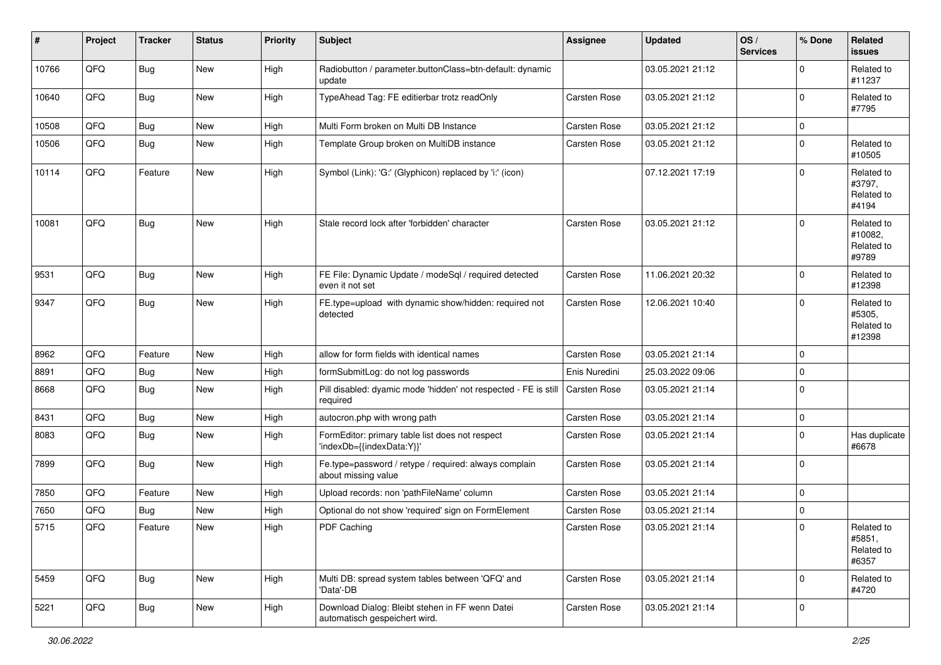| #     | Project | <b>Tracker</b> | <b>Status</b> | <b>Priority</b> | <b>Subject</b>                                                                   | <b>Assignee</b> | <b>Updated</b>   | OS/<br><b>Services</b> | % Done      | <b>Related</b><br>issues                     |
|-------|---------|----------------|---------------|-----------------|----------------------------------------------------------------------------------|-----------------|------------------|------------------------|-------------|----------------------------------------------|
| 10766 | QFQ     | <b>Bug</b>     | New           | High            | Radiobutton / parameter.buttonClass=btn-default: dynamic<br>update               |                 | 03.05.2021 21:12 |                        | $\Omega$    | Related to<br>#11237                         |
| 10640 | QFQ     | Bug            | New           | High            | TypeAhead Tag: FE editierbar trotz readOnly                                      | Carsten Rose    | 03.05.2021 21:12 |                        | 0           | Related to<br>#7795                          |
| 10508 | QFQ     | <b>Bug</b>     | <b>New</b>    | High            | Multi Form broken on Multi DB Instance                                           | Carsten Rose    | 03.05.2021 21:12 |                        | 0           |                                              |
| 10506 | QFQ     | <b>Bug</b>     | New           | High            | Template Group broken on MultiDB instance                                        | Carsten Rose    | 03.05.2021 21:12 |                        | $\Omega$    | Related to<br>#10505                         |
| 10114 | QFQ     | Feature        | New           | High            | Symbol (Link): 'G:' (Glyphicon) replaced by 'i:' (icon)                          |                 | 07.12.2021 17:19 |                        | $\Omega$    | Related to<br>#3797,<br>Related to<br>#4194  |
| 10081 | QFQ     | <b>Bug</b>     | <b>New</b>    | High            | Stale record lock after 'forbidden' character                                    | Carsten Rose    | 03.05.2021 21:12 |                        | $\Omega$    | Related to<br>#10082,<br>Related to<br>#9789 |
| 9531  | QFQ     | <b>Bug</b>     | <b>New</b>    | High            | FE File: Dynamic Update / modeSql / required detected<br>even it not set         | Carsten Rose    | 11.06.2021 20:32 |                        | $\mathbf 0$ | Related to<br>#12398                         |
| 9347  | QFQ     | <b>Bug</b>     | <b>New</b>    | High            | FE.type=upload with dynamic show/hidden: required not<br>detected                | Carsten Rose    | 12.06.2021 10:40 |                        | $\mathbf 0$ | Related to<br>#5305,<br>Related to<br>#12398 |
| 8962  | QFQ     | Feature        | <b>New</b>    | High            | allow for form fields with identical names                                       | Carsten Rose    | 03.05.2021 21:14 |                        | 0           |                                              |
| 8891  | QFQ     | <b>Bug</b>     | <b>New</b>    | High            | formSubmitLog: do not log passwords                                              | Enis Nuredini   | 25.03.2022 09:06 |                        | $\Omega$    |                                              |
| 8668  | QFQ     | <b>Bug</b>     | New           | High            | Pill disabled: dyamic mode 'hidden' not respected - FE is still<br>required      | Carsten Rose    | 03.05.2021 21:14 |                        | 0           |                                              |
| 8431  | QFQ     | <b>Bug</b>     | <b>New</b>    | High            | autocron.php with wrong path                                                     | Carsten Rose    | 03.05.2021 21:14 |                        | 0           |                                              |
| 8083  | QFQ     | <b>Bug</b>     | New           | High            | FormEditor: primary table list does not respect<br>'indexDb={{indexData:Y}}'     | Carsten Rose    | 03.05.2021 21:14 |                        | $\mathbf 0$ | Has duplicate<br>#6678                       |
| 7899  | QFQ     | <b>Bug</b>     | New           | High            | Fe.type=password / retype / required: always complain<br>about missing value     | Carsten Rose    | 03.05.2021 21:14 |                        | $\Omega$    |                                              |
| 7850  | QFQ     | Feature        | <b>New</b>    | High            | Upload records: non 'pathFileName' column                                        | Carsten Rose    | 03.05.2021 21:14 |                        | 0           |                                              |
| 7650  | QFQ     | <b>Bug</b>     | <b>New</b>    | High            | Optional do not show 'required' sign on FormElement                              | Carsten Rose    | 03.05.2021 21:14 |                        | 0           |                                              |
| 5715  | QFQ     | Feature        | New           | High            | PDF Caching                                                                      | Carsten Rose    | 03.05.2021 21:14 |                        | 0           | Related to<br>#5851,<br>Related to<br>#6357  |
| 5459  | QFQ     | <b>Bug</b>     | New           | High            | Multi DB: spread system tables between 'QFQ' and<br>'Data'-DB                    | Carsten Rose    | 03.05.2021 21:14 |                        | 0           | Related to<br>#4720                          |
| 5221  | QFQ     | <b>Bug</b>     | New           | High            | Download Dialog: Bleibt stehen in FF wenn Datei<br>automatisch gespeichert wird. | Carsten Rose    | 03.05.2021 21:14 |                        | 0           |                                              |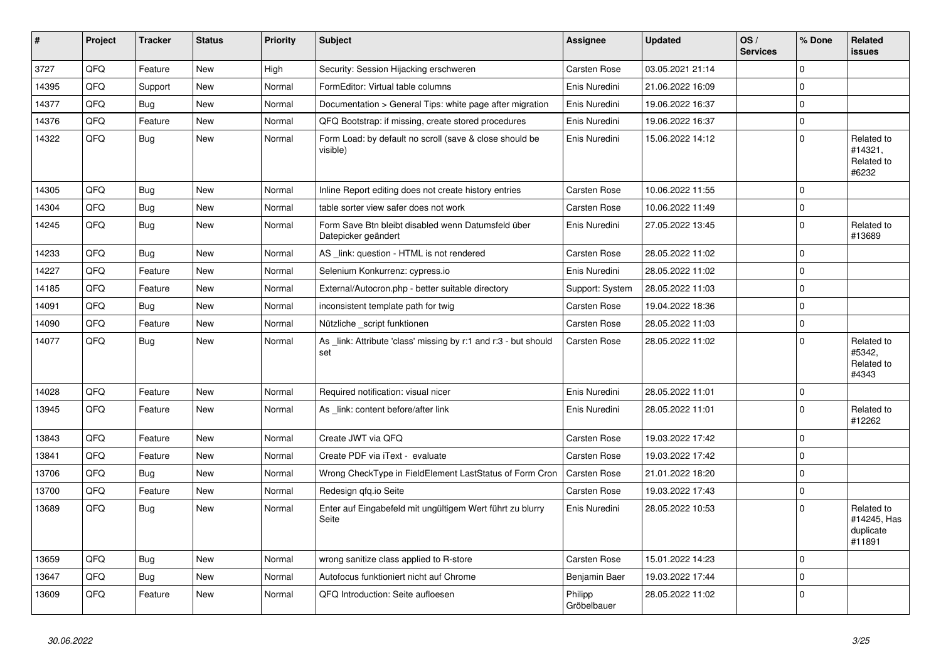| $\vert$ # | Project | <b>Tracker</b> | <b>Status</b> | <b>Priority</b> | <b>Subject</b>                                                            | <b>Assignee</b>        | <b>Updated</b>   | OS/<br><b>Services</b> | % Done              | Related<br><b>issues</b>                         |
|-----------|---------|----------------|---------------|-----------------|---------------------------------------------------------------------------|------------------------|------------------|------------------------|---------------------|--------------------------------------------------|
| 3727      | QFQ     | Feature        | <b>New</b>    | High            | Security: Session Hijacking erschweren                                    | <b>Carsten Rose</b>    | 03.05.2021 21:14 |                        | $\mathbf{0}$        |                                                  |
| 14395     | QFQ     | Support        | <b>New</b>    | Normal          | FormEditor: Virtual table columns                                         | Enis Nuredini          | 21.06.2022 16:09 |                        | $\mathbf{0}$        |                                                  |
| 14377     | QFQ     | <b>Bug</b>     | <b>New</b>    | Normal          | Documentation > General Tips: white page after migration                  | Enis Nuredini          | 19.06.2022 16:37 |                        | 0                   |                                                  |
| 14376     | QFQ     | Feature        | <b>New</b>    | Normal          | QFQ Bootstrap: if missing, create stored procedures                       | Enis Nuredini          | 19.06.2022 16:37 |                        | $\mathsf{O}\xspace$ |                                                  |
| 14322     | QFQ     | Bug            | <b>New</b>    | Normal          | Form Load: by default no scroll (save & close should be<br>visible)       | Enis Nuredini          | 15.06.2022 14:12 |                        | $\Omega$            | Related to<br>#14321,<br>Related to<br>#6232     |
| 14305     | QFQ     | <b>Bug</b>     | <b>New</b>    | Normal          | Inline Report editing does not create history entries                     | <b>Carsten Rose</b>    | 10.06.2022 11:55 |                        | 0                   |                                                  |
| 14304     | QFQ     | <b>Bug</b>     | <b>New</b>    | Normal          | table sorter view safer does not work                                     | Carsten Rose           | 10.06.2022 11:49 |                        | $\Omega$            |                                                  |
| 14245     | QFQ     | <b>Bug</b>     | <b>New</b>    | Normal          | Form Save Btn bleibt disabled wenn Datumsfeld über<br>Datepicker geändert | Enis Nuredini          | 27.05.2022 13:45 |                        | $\mathbf{0}$        | Related to<br>#13689                             |
| 14233     | QFQ     | Bug            | <b>New</b>    | Normal          | AS link: question - HTML is not rendered                                  | Carsten Rose           | 28.05.2022 11:02 |                        | $\mathbf 0$         |                                                  |
| 14227     | QFQ     | Feature        | <b>New</b>    | Normal          | Selenium Konkurrenz: cypress.io                                           | Enis Nuredini          | 28.05.2022 11:02 |                        | $\mathbf 0$         |                                                  |
| 14185     | QFQ     | Feature        | <b>New</b>    | Normal          | External/Autocron.php - better suitable directory                         | Support: System        | 28.05.2022 11:03 |                        | $\mathbf{0}$        |                                                  |
| 14091     | QFQ     | <b>Bug</b>     | <b>New</b>    | Normal          | inconsistent template path for twig                                       | Carsten Rose           | 19.04.2022 18:36 |                        | $\mathsf{O}\xspace$ |                                                  |
| 14090     | QFQ     | Feature        | <b>New</b>    | Normal          | Nützliche _script funktionen                                              | <b>Carsten Rose</b>    | 28.05.2022 11:03 |                        | 0                   |                                                  |
| 14077     | QFQ     | <b>Bug</b>     | <b>New</b>    | Normal          | As _link: Attribute 'class' missing by r:1 and r:3 - but should<br>set    | <b>Carsten Rose</b>    | 28.05.2022 11:02 |                        | $\Omega$            | Related to<br>#5342,<br>Related to<br>#4343      |
| 14028     | QFQ     | Feature        | <b>New</b>    | Normal          | Required notification: visual nicer                                       | Enis Nuredini          | 28.05.2022 11:01 |                        | 0                   |                                                  |
| 13945     | QFQ     | Feature        | New           | Normal          | As _link: content before/after link                                       | Enis Nuredini          | 28.05.2022 11:01 |                        | $\Omega$            | Related to<br>#12262                             |
| 13843     | QFQ     | Feature        | <b>New</b>    | Normal          | Create JWT via QFQ                                                        | <b>Carsten Rose</b>    | 19.03.2022 17:42 |                        | $\mathbf 0$         |                                                  |
| 13841     | QFQ     | Feature        | <b>New</b>    | Normal          | Create PDF via iText - evaluate                                           | <b>Carsten Rose</b>    | 19.03.2022 17:42 |                        | 0                   |                                                  |
| 13706     | QFQ     | Bug            | <b>New</b>    | Normal          | Wrong CheckType in FieldElement LastStatus of Form Cron                   | <b>Carsten Rose</b>    | 21.01.2022 18:20 |                        | $\mathbf{0}$        |                                                  |
| 13700     | QFQ     | Feature        | <b>New</b>    | Normal          | Redesign gfg.io Seite                                                     | Carsten Rose           | 19.03.2022 17:43 |                        | $\pmb{0}$           |                                                  |
| 13689     | QFQ     | Bug            | <b>New</b>    | Normal          | Enter auf Eingabefeld mit ungültigem Wert führt zu blurry<br>Seite        | Enis Nuredini          | 28.05.2022 10:53 |                        | $\mathbf{0}$        | Related to<br>#14245, Has<br>duplicate<br>#11891 |
| 13659     | QFQ     | Bug            | New           | Normal          | wrong sanitize class applied to R-store                                   | <b>Carsten Rose</b>    | 15.01.2022 14:23 |                        | $\mathbf 0$         |                                                  |
| 13647     | QFQ     | Bug            | New           | Normal          | Autofocus funktioniert nicht auf Chrome                                   | Benjamin Baer          | 19.03.2022 17:44 |                        | 0                   |                                                  |
| 13609     | QFQ     | Feature        | New           | Normal          | QFQ Introduction: Seite aufloesen                                         | Philipp<br>Gröbelbauer | 28.05.2022 11:02 |                        | 0                   |                                                  |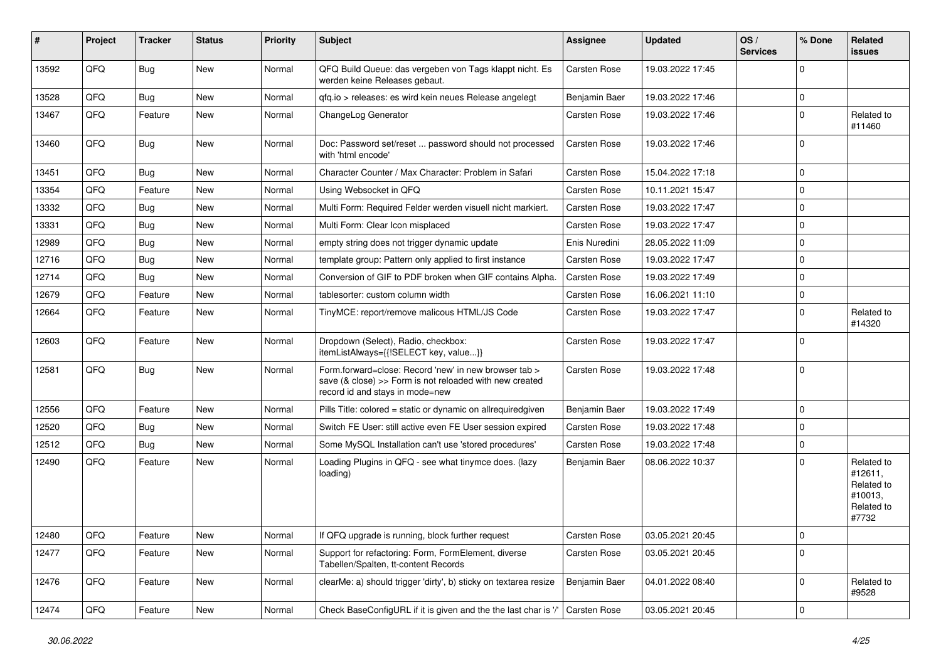| #     | Project | <b>Tracker</b> | <b>Status</b> | <b>Priority</b> | <b>Subject</b>                                                                                                                                      | <b>Assignee</b> | <b>Updated</b>   | OS/<br><b>Services</b> | % Done      | Related<br>issues                                                     |
|-------|---------|----------------|---------------|-----------------|-----------------------------------------------------------------------------------------------------------------------------------------------------|-----------------|------------------|------------------------|-------------|-----------------------------------------------------------------------|
| 13592 | QFQ     | <b>Bug</b>     | New           | Normal          | QFQ Build Queue: das vergeben von Tags klappt nicht. Es<br>werden keine Releases gebaut.                                                            | Carsten Rose    | 19.03.2022 17:45 |                        | $\Omega$    |                                                                       |
| 13528 | QFQ     | <b>Bug</b>     | New           | Normal          | qfq.io > releases: es wird kein neues Release angelegt                                                                                              | Benjamin Baer   | 19.03.2022 17:46 |                        | $\mathbf 0$ |                                                                       |
| 13467 | QFQ     | Feature        | New           | Normal          | ChangeLog Generator                                                                                                                                 | Carsten Rose    | 19.03.2022 17:46 |                        | $\Omega$    | Related to<br>#11460                                                  |
| 13460 | QFQ     | <b>Bug</b>     | <b>New</b>    | Normal          | Doc: Password set/reset  password should not processed<br>with 'html encode'                                                                        | Carsten Rose    | 19.03.2022 17:46 |                        | $\Omega$    |                                                                       |
| 13451 | QFQ     | <b>Bug</b>     | <b>New</b>    | Normal          | Character Counter / Max Character: Problem in Safari                                                                                                | Carsten Rose    | 15.04.2022 17:18 |                        | $\Omega$    |                                                                       |
| 13354 | QFQ     | Feature        | New           | Normal          | Using Websocket in QFQ                                                                                                                              | Carsten Rose    | 10.11.2021 15:47 |                        | $\Omega$    |                                                                       |
| 13332 | QFQ     | <b>Bug</b>     | New           | Normal          | Multi Form: Required Felder werden visuell nicht markiert.                                                                                          | Carsten Rose    | 19.03.2022 17:47 |                        | $\Omega$    |                                                                       |
| 13331 | QFQ     | <b>Bug</b>     | New           | Normal          | Multi Form: Clear Icon misplaced                                                                                                                    | Carsten Rose    | 19.03.2022 17:47 |                        | $\Omega$    |                                                                       |
| 12989 | QFQ     | <b>Bug</b>     | New           | Normal          | empty string does not trigger dynamic update                                                                                                        | Enis Nuredini   | 28.05.2022 11:09 |                        | $\Omega$    |                                                                       |
| 12716 | QFQ     | <b>Bug</b>     | New           | Normal          | template group: Pattern only applied to first instance                                                                                              | Carsten Rose    | 19.03.2022 17:47 |                        | $\Omega$    |                                                                       |
| 12714 | QFQ     | <b>Bug</b>     | <b>New</b>    | Normal          | Conversion of GIF to PDF broken when GIF contains Alpha.                                                                                            | Carsten Rose    | 19.03.2022 17:49 |                        | $\Omega$    |                                                                       |
| 12679 | QFQ     | Feature        | New           | Normal          | tablesorter: custom column width                                                                                                                    | Carsten Rose    | 16.06.2021 11:10 |                        | $\mathbf 0$ |                                                                       |
| 12664 | QFQ     | Feature        | New           | Normal          | TinyMCE: report/remove malicous HTML/JS Code                                                                                                        | Carsten Rose    | 19.03.2022 17:47 |                        | $\Omega$    | Related to<br>#14320                                                  |
| 12603 | QFQ     | Feature        | New           | Normal          | Dropdown (Select), Radio, checkbox:<br>itemListAlways={{!SELECT key, value}}                                                                        | Carsten Rose    | 19.03.2022 17:47 |                        | $\Omega$    |                                                                       |
| 12581 | QFQ     | Bug            | New           | Normal          | Form.forward=close: Record 'new' in new browser tab ><br>save (& close) >> Form is not reloaded with new created<br>record id and stays in mode=new | Carsten Rose    | 19.03.2022 17:48 |                        | $\Omega$    |                                                                       |
| 12556 | QFQ     | Feature        | New           | Normal          | Pills Title: colored = static or dynamic on allrequiredgiven                                                                                        | Benjamin Baer   | 19.03.2022 17:49 |                        | $\mathbf 0$ |                                                                       |
| 12520 | QFQ     | <b>Bug</b>     | New           | Normal          | Switch FE User: still active even FE User session expired                                                                                           | Carsten Rose    | 19.03.2022 17:48 |                        | $\Omega$    |                                                                       |
| 12512 | QFQ     | <b>Bug</b>     | New           | Normal          | Some MySQL Installation can't use 'stored procedures'                                                                                               | Carsten Rose    | 19.03.2022 17:48 |                        | $\Omega$    |                                                                       |
| 12490 | QFQ     | Feature        | New           | Normal          | Loading Plugins in QFQ - see what tinymce does. (lazy<br>loading)                                                                                   | Benjamin Baer   | 08.06.2022 10:37 |                        | $\Omega$    | Related to<br>#12611,<br>Related to<br>#10013,<br>Related to<br>#7732 |
| 12480 | QFQ     | Feature        | New           | Normal          | If QFQ upgrade is running, block further request                                                                                                    | Carsten Rose    | 03.05.2021 20:45 |                        | 0           |                                                                       |
| 12477 | QFQ     | Feature        | New           | Normal          | Support for refactoring: Form, FormElement, diverse<br>Tabellen/Spalten, tt-content Records                                                         | Carsten Rose    | 03.05.2021 20:45 |                        | $\mathbf 0$ |                                                                       |
| 12476 | QFQ     | Feature        | New           | Normal          | clearMe: a) should trigger 'dirty', b) sticky on textarea resize                                                                                    | Benjamin Baer   | 04.01.2022 08:40 |                        | 0           | Related to<br>#9528                                                   |
| 12474 | QFQ     | Feature        | New           | Normal          | Check BaseConfigURL if it is given and the the last char is '/'                                                                                     | Carsten Rose    | 03.05.2021 20:45 |                        | $\pmb{0}$   |                                                                       |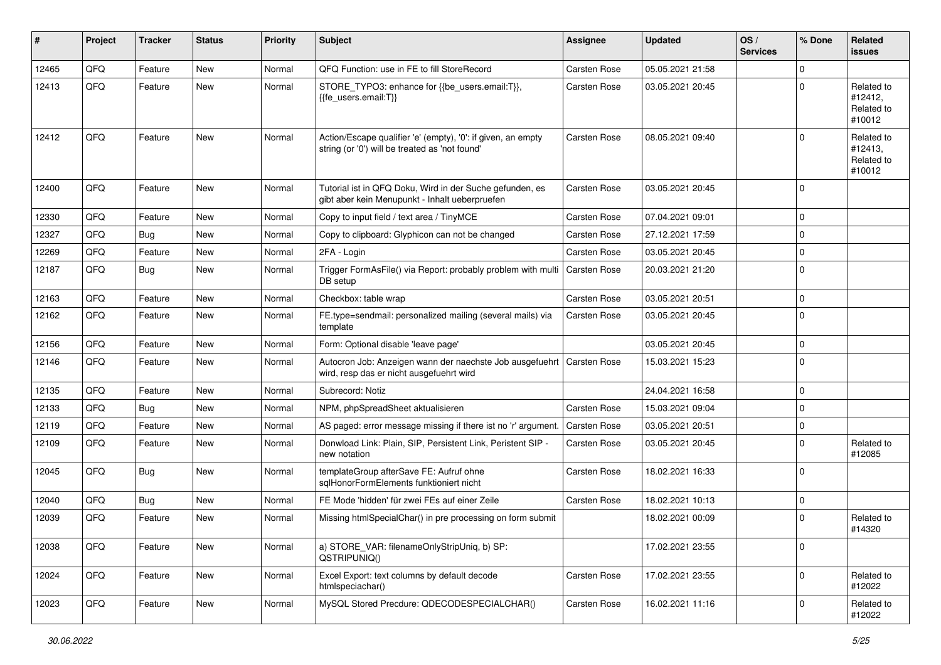| #     | Project | <b>Tracker</b> | <b>Status</b> | <b>Priority</b> | <b>Subject</b>                                                                                                 | <b>Assignee</b>     | <b>Updated</b>   | OS/<br><b>Services</b> | % Done      | <b>Related</b><br><b>issues</b>               |
|-------|---------|----------------|---------------|-----------------|----------------------------------------------------------------------------------------------------------------|---------------------|------------------|------------------------|-------------|-----------------------------------------------|
| 12465 | QFQ     | Feature        | <b>New</b>    | Normal          | QFQ Function: use in FE to fill StoreRecord                                                                    | Carsten Rose        | 05.05.2021 21:58 |                        | 0           |                                               |
| 12413 | QFQ     | Feature        | <b>New</b>    | Normal          | STORE_TYPO3: enhance for {{be_users.email:T}},<br>{{fe users.email:T}}                                         | Carsten Rose        | 03.05.2021 20:45 |                        | 0           | Related to<br>#12412,<br>Related to<br>#10012 |
| 12412 | QFQ     | Feature        | <b>New</b>    | Normal          | Action/Escape qualifier 'e' (empty), '0': if given, an empty<br>string (or '0') will be treated as 'not found' | Carsten Rose        | 08.05.2021 09:40 |                        | 0           | Related to<br>#12413,<br>Related to<br>#10012 |
| 12400 | QFQ     | Feature        | <b>New</b>    | Normal          | Tutorial ist in QFQ Doku, Wird in der Suche gefunden, es<br>gibt aber kein Menupunkt - Inhalt ueberpruefen     | Carsten Rose        | 03.05.2021 20:45 |                        | $\mathbf 0$ |                                               |
| 12330 | QFQ     | Feature        | <b>New</b>    | Normal          | Copy to input field / text area / TinyMCE                                                                      | Carsten Rose        | 07.04.2021 09:01 |                        | $\mathbf 0$ |                                               |
| 12327 | QFQ     | <b>Bug</b>     | <b>New</b>    | Normal          | Copy to clipboard: Glyphicon can not be changed                                                                | Carsten Rose        | 27.12.2021 17:59 |                        | 0           |                                               |
| 12269 | QFQ     | Feature        | New           | Normal          | 2FA - Login                                                                                                    | Carsten Rose        | 03.05.2021 20:45 |                        | $\Omega$    |                                               |
| 12187 | QFQ     | <b>Bug</b>     | <b>New</b>    | Normal          | Trigger FormAsFile() via Report: probably problem with multi<br>DB setup                                       | Carsten Rose        | 20.03.2021 21:20 |                        | 0           |                                               |
| 12163 | QFQ     | Feature        | <b>New</b>    | Normal          | Checkbox: table wrap                                                                                           | Carsten Rose        | 03.05.2021 20:51 |                        | 0           |                                               |
| 12162 | QFQ     | Feature        | New           | Normal          | FE.type=sendmail: personalized mailing (several mails) via<br>template                                         | Carsten Rose        | 03.05.2021 20:45 |                        | $\mathbf 0$ |                                               |
| 12156 | QFQ     | Feature        | New           | Normal          | Form: Optional disable 'leave page'                                                                            |                     | 03.05.2021 20:45 |                        | 0           |                                               |
| 12146 | QFQ     | Feature        | <b>New</b>    | Normal          | Autocron Job: Anzeigen wann der naechste Job ausgefuehrt<br>wird, resp das er nicht ausgefuehrt wird           | <b>Carsten Rose</b> | 15.03.2021 15:23 |                        | $\Omega$    |                                               |
| 12135 | QFQ     | Feature        | <b>New</b>    | Normal          | Subrecord: Notiz                                                                                               |                     | 24.04.2021 16:58 |                        | $\mathbf 0$ |                                               |
| 12133 | QFQ     | <b>Bug</b>     | <b>New</b>    | Normal          | NPM, phpSpreadSheet aktualisieren                                                                              | Carsten Rose        | 15.03.2021 09:04 |                        | 0           |                                               |
| 12119 | QFQ     | Feature        | <b>New</b>    | Normal          | AS paged: error message missing if there ist no 'r' argument.                                                  | Carsten Rose        | 03.05.2021 20:51 |                        | 0           |                                               |
| 12109 | QFQ     | Feature        | New           | Normal          | Donwload Link: Plain, SIP, Persistent Link, Peristent SIP -<br>new notation                                    | Carsten Rose        | 03.05.2021 20:45 |                        | $\mathbf 0$ | Related to<br>#12085                          |
| 12045 | QFQ     | <b>Bug</b>     | <b>New</b>    | Normal          | templateGroup afterSave FE: Aufruf ohne<br>sqlHonorFormElements funktioniert nicht                             | Carsten Rose        | 18.02.2021 16:33 |                        | 0           |                                               |
| 12040 | QFQ     | <b>Bug</b>     | <b>New</b>    | Normal          | FE Mode 'hidden' für zwei FEs auf einer Zeile                                                                  | Carsten Rose        | 18.02.2021 10:13 |                        | 0           |                                               |
| 12039 | QFQ     | Feature        | <b>New</b>    | Normal          | Missing htmlSpecialChar() in pre processing on form submit                                                     |                     | 18.02.2021 00:09 |                        | 0           | Related to<br>#14320                          |
| 12038 | QFQ     | Feature        | New           | Normal          | a) STORE_VAR: filenameOnlyStripUniq, b) SP:<br>QSTRIPUNIQ()                                                    |                     | 17.02.2021 23:55 |                        | $\mathbf 0$ |                                               |
| 12024 | QFQ     | Feature        | New           | Normal          | Excel Export: text columns by default decode<br>htmlspeciachar()                                               | Carsten Rose        | 17.02.2021 23:55 |                        | $\mathbf 0$ | Related to<br>#12022                          |
| 12023 | QFQ     | Feature        | New           | Normal          | MySQL Stored Precdure: QDECODESPECIALCHAR()                                                                    | Carsten Rose        | 16.02.2021 11:16 |                        | 0           | Related to<br>#12022                          |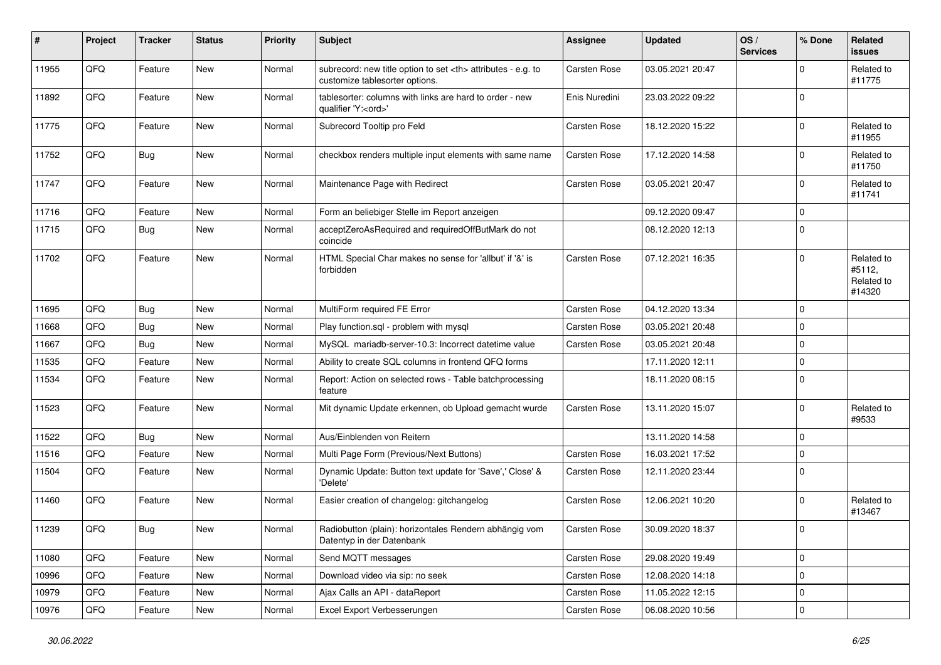| ∦     | Project | <b>Tracker</b> | <b>Status</b> | <b>Priority</b> | Subject                                                                                              | <b>Assignee</b>                                        | <b>Updated</b>   | OS/<br><b>Services</b> | % Done      | Related<br>issues                            |                      |
|-------|---------|----------------|---------------|-----------------|------------------------------------------------------------------------------------------------------|--------------------------------------------------------|------------------|------------------------|-------------|----------------------------------------------|----------------------|
| 11955 | QFQ     | Feature        | New           | Normal          | subrecord: new title option to set <th> attributes - e.g. to<br/>customize tablesorter options.</th> | attributes - e.g. to<br>customize tablesorter options. | Carsten Rose     | 03.05.2021 20:47       |             | 0                                            | Related to<br>#11775 |
| 11892 | QFQ     | Feature        | New           | Normal          | tablesorter: columns with links are hard to order - new<br>qualifier 'Y: <ord>'</ord>                | Enis Nuredini                                          | 23.03.2022 09:22 |                        | 0           |                                              |                      |
| 11775 | QFQ     | Feature        | <b>New</b>    | Normal          | Subrecord Tooltip pro Feld                                                                           | Carsten Rose                                           | 18.12.2020 15:22 |                        | 0           | Related to<br>#11955                         |                      |
| 11752 | QFQ     | <b>Bug</b>     | New           | Normal          | checkbox renders multiple input elements with same name                                              | <b>Carsten Rose</b>                                    | 17.12.2020 14:58 |                        | $\mathbf 0$ | Related to<br>#11750                         |                      |
| 11747 | QFQ     | Feature        | New           | Normal          | Maintenance Page with Redirect                                                                       | Carsten Rose                                           | 03.05.2021 20:47 |                        | 0           | Related to<br>#11741                         |                      |
| 11716 | QFQ     | Feature        | <b>New</b>    | Normal          | Form an beliebiger Stelle im Report anzeigen                                                         |                                                        | 09.12.2020 09:47 |                        | 0           |                                              |                      |
| 11715 | QFQ     | <b>Bug</b>     | New           | Normal          | acceptZeroAsRequired and requiredOffButMark do not<br>coincide                                       |                                                        | 08.12.2020 12:13 |                        | 0           |                                              |                      |
| 11702 | QFQ     | Feature        | New           | Normal          | HTML Special Char makes no sense for 'allbut' if '&' is<br>forbidden                                 | <b>Carsten Rose</b>                                    | 07.12.2021 16:35 |                        | $\mathbf 0$ | Related to<br>#5112,<br>Related to<br>#14320 |                      |
| 11695 | QFQ     | Bug            | <b>New</b>    | Normal          | MultiForm required FE Error                                                                          | <b>Carsten Rose</b>                                    | 04.12.2020 13:34 |                        | 0           |                                              |                      |
| 11668 | QFQ     | Bug            | New           | Normal          | Play function.sql - problem with mysql                                                               | Carsten Rose                                           | 03.05.2021 20:48 |                        | 0           |                                              |                      |
| 11667 | QFQ     | Bug            | <b>New</b>    | Normal          | MySQL mariadb-server-10.3: Incorrect datetime value                                                  | Carsten Rose                                           | 03.05.2021 20:48 |                        | 0           |                                              |                      |
| 11535 | QFQ     | Feature        | <b>New</b>    | Normal          | Ability to create SQL columns in frontend QFQ forms                                                  |                                                        | 17.11.2020 12:11 |                        | 0           |                                              |                      |
| 11534 | QFQ     | Feature        | New           | Normal          | Report: Action on selected rows - Table batchprocessing<br>feature                                   |                                                        | 18.11.2020 08:15 |                        | 0           |                                              |                      |
| 11523 | QFQ     | Feature        | <b>New</b>    | Normal          | Mit dynamic Update erkennen, ob Upload gemacht wurde                                                 | Carsten Rose                                           | 13.11.2020 15:07 |                        | 0           | Related to<br>#9533                          |                      |
| 11522 | QFQ     | <b>Bug</b>     | New           | Normal          | Aus/Einblenden von Reitern                                                                           |                                                        | 13.11.2020 14:58 |                        | 0           |                                              |                      |
| 11516 | QFQ     | Feature        | <b>New</b>    | Normal          | Multi Page Form (Previous/Next Buttons)                                                              | <b>Carsten Rose</b>                                    | 16.03.2021 17:52 |                        | 0           |                                              |                      |
| 11504 | QFQ     | Feature        | <b>New</b>    | Normal          | Dynamic Update: Button text update for 'Save',' Close' &<br>'Delete'                                 | Carsten Rose                                           | 12.11.2020 23:44 |                        | 0           |                                              |                      |
| 11460 | QFQ     | Feature        | <b>New</b>    | Normal          | Easier creation of changelog: gitchangelog                                                           | Carsten Rose                                           | 12.06.2021 10:20 |                        | 0           | Related to<br>#13467                         |                      |
| 11239 | QFQ     | Bug            | I New         | Normal          | Radiobutton (plain): horizontales Rendern abhängig vom<br>Datentyp in der Datenbank                  | Carsten Rose                                           | 30.09.2020 18:37 |                        | $\Omega$    |                                              |                      |
| 11080 | QFO     | Feature        | New           | Normal          | Send MQTT messages                                                                                   | Carsten Rose                                           | 29.08.2020 19:49 |                        | $\mathbf 0$ |                                              |                      |
| 10996 | QFQ     | Feature        | New           | Normal          | Download video via sip: no seek                                                                      | Carsten Rose                                           | 12.08.2020 14:18 |                        | 0           |                                              |                      |
| 10979 | QFO     | Feature        | <b>New</b>    | Normal          | Ajax Calls an API - dataReport                                                                       | Carsten Rose                                           | 11.05.2022 12:15 |                        | 0           |                                              |                      |
| 10976 | QFQ     | Feature        | New           | Normal          | Excel Export Verbesserungen                                                                          | Carsten Rose                                           | 06.08.2020 10:56 |                        | 0           |                                              |                      |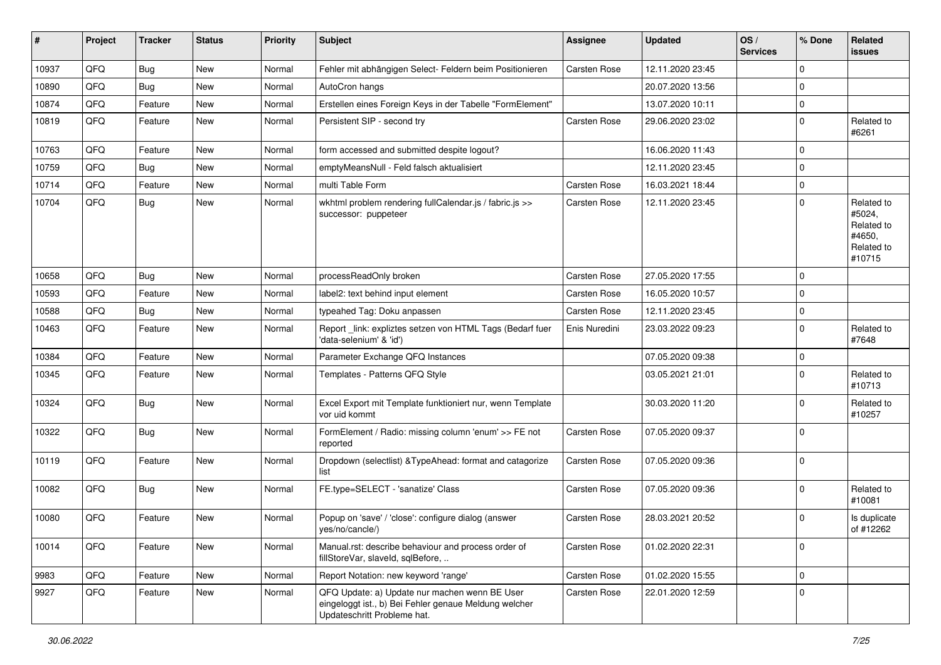| #     | Project | <b>Tracker</b> | <b>Status</b> | <b>Priority</b> | <b>Subject</b>                                                                                                                        | <b>Assignee</b>     | <b>Updated</b>   | OS/<br><b>Services</b> | % Done      | Related<br><b>issues</b>                                             |
|-------|---------|----------------|---------------|-----------------|---------------------------------------------------------------------------------------------------------------------------------------|---------------------|------------------|------------------------|-------------|----------------------------------------------------------------------|
| 10937 | QFQ     | <b>Bug</b>     | <b>New</b>    | Normal          | Fehler mit abhängigen Select- Feldern beim Positionieren                                                                              | Carsten Rose        | 12.11.2020 23:45 |                        | 0           |                                                                      |
| 10890 | QFQ     | Bug            | <b>New</b>    | Normal          | AutoCron hangs                                                                                                                        |                     | 20.07.2020 13:56 |                        | 0           |                                                                      |
| 10874 | QFQ     | Feature        | <b>New</b>    | Normal          | Erstellen eines Foreign Keys in der Tabelle "FormElement"                                                                             |                     | 13.07.2020 10:11 |                        | 0           |                                                                      |
| 10819 | QFQ     | Feature        | New           | Normal          | Persistent SIP - second try                                                                                                           | Carsten Rose        | 29.06.2020 23:02 |                        | 0           | Related to<br>#6261                                                  |
| 10763 | QFQ     | Feature        | <b>New</b>    | Normal          | form accessed and submitted despite logout?                                                                                           |                     | 16.06.2020 11:43 |                        | 0           |                                                                      |
| 10759 | QFQ     | Bug            | <b>New</b>    | Normal          | emptyMeansNull - Feld falsch aktualisiert                                                                                             |                     | 12.11.2020 23:45 |                        | 0           |                                                                      |
| 10714 | QFQ     | Feature        | <b>New</b>    | Normal          | multi Table Form                                                                                                                      | Carsten Rose        | 16.03.2021 18:44 |                        | 0           |                                                                      |
| 10704 | QFQ     | Bug            | <b>New</b>    | Normal          | wkhtml problem rendering fullCalendar.js / fabric.js >><br>successor: puppeteer                                                       | Carsten Rose        | 12.11.2020 23:45 |                        | 0           | Related to<br>#5024,<br>Related to<br>#4650,<br>Related to<br>#10715 |
| 10658 | QFQ     | <b>Bug</b>     | <b>New</b>    | Normal          | processReadOnly broken                                                                                                                | <b>Carsten Rose</b> | 27.05.2020 17:55 |                        | 0           |                                                                      |
| 10593 | QFQ     | Feature        | <b>New</b>    | Normal          | label2: text behind input element                                                                                                     | Carsten Rose        | 16.05.2020 10:57 |                        | 0           |                                                                      |
| 10588 | QFQ     | <b>Bug</b>     | <b>New</b>    | Normal          | typeahed Tag: Doku anpassen                                                                                                           | Carsten Rose        | 12.11.2020 23:45 |                        | 0           |                                                                      |
| 10463 | QFQ     | Feature        | New           | Normal          | Report_link: expliztes setzen von HTML Tags (Bedarf fuer<br>'data-selenium' & 'id')                                                   | Enis Nuredini       | 23.03.2022 09:23 |                        | $\mathbf 0$ | Related to<br>#7648                                                  |
| 10384 | QFQ     | Feature        | <b>New</b>    | Normal          | Parameter Exchange QFQ Instances                                                                                                      |                     | 07.05.2020 09:38 |                        | 0           |                                                                      |
| 10345 | QFQ     | Feature        | <b>New</b>    | Normal          | Templates - Patterns QFQ Style                                                                                                        |                     | 03.05.2021 21:01 |                        | 0           | Related to<br>#10713                                                 |
| 10324 | QFQ     | <b>Bug</b>     | <b>New</b>    | Normal          | Excel Export mit Template funktioniert nur, wenn Template<br>vor uid kommt                                                            |                     | 30.03.2020 11:20 |                        | $\mathbf 0$ | Related to<br>#10257                                                 |
| 10322 | QFQ     | Bug            | <b>New</b>    | Normal          | FormElement / Radio: missing column 'enum' >> FE not<br>reported                                                                      | <b>Carsten Rose</b> | 07.05.2020 09:37 |                        | $\Omega$    |                                                                      |
| 10119 | QFQ     | Feature        | <b>New</b>    | Normal          | Dropdown (selectlist) & Type Ahead: format and catagorize<br>list                                                                     | Carsten Rose        | 07.05.2020 09:36 |                        | $\mathbf 0$ |                                                                      |
| 10082 | QFQ     | Bug            | <b>New</b>    | Normal          | FE.type=SELECT - 'sanatize' Class                                                                                                     | Carsten Rose        | 07.05.2020 09:36 |                        | 0           | Related to<br>#10081                                                 |
| 10080 | QFQ     | Feature        | <b>New</b>    | Normal          | Popup on 'save' / 'close': configure dialog (answer<br>yes/no/cancle/)                                                                | Carsten Rose        | 28.03.2021 20:52 |                        | 0           | Is duplicate<br>of #12262                                            |
| 10014 | QFQ     | Feature        | New           | Normal          | Manual.rst: describe behaviour and process order of<br>fillStoreVar, slaveId, sqlBefore,                                              | Carsten Rose        | 01.02.2020 22:31 |                        | 0           |                                                                      |
| 9983  | QFQ     | Feature        | <b>New</b>    | Normal          | Report Notation: new keyword 'range'                                                                                                  | Carsten Rose        | 01.02.2020 15:55 |                        | 0           |                                                                      |
| 9927  | QFQ     | Feature        | New           | Normal          | QFQ Update: a) Update nur machen wenn BE User<br>eingeloggt ist., b) Bei Fehler genaue Meldung welcher<br>Updateschritt Probleme hat. | Carsten Rose        | 22.01.2020 12:59 |                        | $\mathbf 0$ |                                                                      |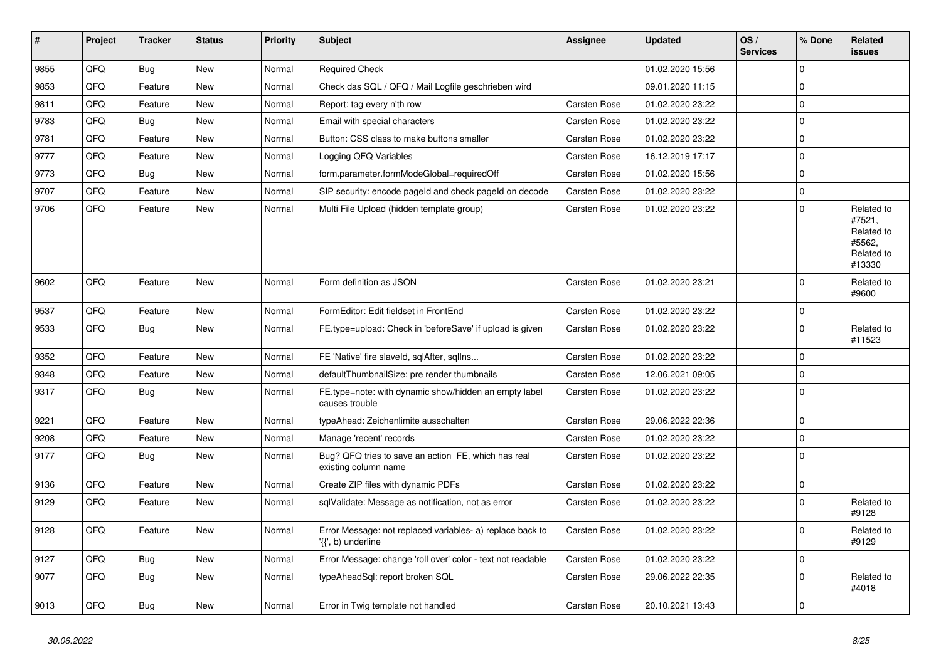| $\vert$ # | Project | <b>Tracker</b> | <b>Status</b> | <b>Priority</b> | <b>Subject</b>                                                                  | <b>Assignee</b>     | <b>Updated</b>   | OS/<br><b>Services</b> | % Done      | Related<br><b>issues</b>                                             |
|-----------|---------|----------------|---------------|-----------------|---------------------------------------------------------------------------------|---------------------|------------------|------------------------|-------------|----------------------------------------------------------------------|
| 9855      | QFQ     | <b>Bug</b>     | <b>New</b>    | Normal          | <b>Required Check</b>                                                           |                     | 01.02.2020 15:56 |                        | $\Omega$    |                                                                      |
| 9853      | QFQ     | Feature        | New           | Normal          | Check das SQL / QFQ / Mail Logfile geschrieben wird                             |                     | 09.01.2020 11:15 |                        | 0           |                                                                      |
| 9811      | QFQ     | Feature        | New           | Normal          | Report: tag every n'th row                                                      | <b>Carsten Rose</b> | 01.02.2020 23:22 |                        | 0           |                                                                      |
| 9783      | QFQ     | <b>Bug</b>     | <b>New</b>    | Normal          | Email with special characters                                                   | <b>Carsten Rose</b> | 01.02.2020 23:22 |                        | 0           |                                                                      |
| 9781      | QFQ     | Feature        | <b>New</b>    | Normal          | Button: CSS class to make buttons smaller                                       | <b>Carsten Rose</b> | 01.02.2020 23:22 |                        | $\Omega$    |                                                                      |
| 9777      | QFQ     | Feature        | New           | Normal          | Logging QFQ Variables                                                           | <b>Carsten Rose</b> | 16.12.2019 17:17 |                        | 0           |                                                                      |
| 9773      | QFQ     | <b>Bug</b>     | <b>New</b>    | Normal          | form.parameter.formModeGlobal=requiredOff                                       | <b>Carsten Rose</b> | 01.02.2020 15:56 |                        | 0           |                                                                      |
| 9707      | QFQ     | Feature        | <b>New</b>    | Normal          | SIP security: encode pageld and check pageld on decode                          | <b>Carsten Rose</b> | 01.02.2020 23:22 |                        | 0           |                                                                      |
| 9706      | QFQ     | Feature        | New           | Normal          | Multi File Upload (hidden template group)                                       | <b>Carsten Rose</b> | 01.02.2020 23:22 |                        | $\Omega$    | Related to<br>#7521,<br>Related to<br>#5562,<br>Related to<br>#13330 |
| 9602      | QFQ     | Feature        | <b>New</b>    | Normal          | Form definition as JSON                                                         | <b>Carsten Rose</b> | 01.02.2020 23:21 |                        | 0           | Related to<br>#9600                                                  |
| 9537      | QFQ     | Feature        | New           | Normal          | FormEditor: Edit fieldset in FrontEnd                                           | <b>Carsten Rose</b> | 01.02.2020 23:22 |                        | 0           |                                                                      |
| 9533      | QFQ     | <b>Bug</b>     | <b>New</b>    | Normal          | FE.type=upload: Check in 'beforeSave' if upload is given                        | <b>Carsten Rose</b> | 01.02.2020 23:22 |                        | $\Omega$    | Related to<br>#11523                                                 |
| 9352      | QFQ     | Feature        | <b>New</b>    | Normal          | FE 'Native' fire slaveld, sqlAfter, sqlIns                                      | <b>Carsten Rose</b> | 01.02.2020 23:22 |                        | $\mathbf 0$ |                                                                      |
| 9348      | QFQ     | Feature        | New           | Normal          | defaultThumbnailSize: pre render thumbnails                                     | Carsten Rose        | 12.06.2021 09:05 |                        | 0           |                                                                      |
| 9317      | QFQ     | <b>Bug</b>     | <b>New</b>    | Normal          | FE.type=note: with dynamic show/hidden an empty label<br>causes trouble         | <b>Carsten Rose</b> | 01.02.2020 23:22 |                        | $\Omega$    |                                                                      |
| 9221      | QFQ     | Feature        | New           | Normal          | typeAhead: Zeichenlimite ausschalten                                            | Carsten Rose        | 29.06.2022 22:36 |                        | 0           |                                                                      |
| 9208      | QFQ     | Feature        | <b>New</b>    | Normal          | Manage 'recent' records                                                         | <b>Carsten Rose</b> | 01.02.2020 23:22 |                        | 0           |                                                                      |
| 9177      | QFQ     | <b>Bug</b>     | <b>New</b>    | Normal          | Bug? QFQ tries to save an action FE, which has real<br>existing column name     | <b>Carsten Rose</b> | 01.02.2020 23:22 |                        | 0           |                                                                      |
| 9136      | QFQ     | Feature        | New           | Normal          | Create ZIP files with dynamic PDFs                                              | <b>Carsten Rose</b> | 01.02.2020 23:22 |                        | 0           |                                                                      |
| 9129      | QFQ     | Feature        | New           | Normal          | sqlValidate: Message as notification, not as error                              | <b>Carsten Rose</b> | 01.02.2020 23:22 |                        | 0           | Related to<br>#9128                                                  |
| 9128      | QFQ     | Feature        | <b>New</b>    | Normal          | Error Message: not replaced variables- a) replace back to<br>'{{', b) underline | Carsten Rose        | 01.02.2020 23:22 |                        | $\mathbf 0$ | Related to<br>#9129                                                  |
| 9127      | QFQ     | <b>Bug</b>     | <b>New</b>    | Normal          | Error Message: change 'roll over' color - text not readable                     | <b>Carsten Rose</b> | 01.02.2020 23:22 |                        | 0           |                                                                      |
| 9077      | QFQ     | <b>Bug</b>     | <b>New</b>    | Normal          | typeAheadSql: report broken SQL                                                 | Carsten Rose        | 29.06.2022 22:35 |                        | 0           | Related to<br>#4018                                                  |
| 9013      | QFQ     | Bug            | <b>New</b>    | Normal          | Error in Twig template not handled                                              | <b>Carsten Rose</b> | 20.10.2021 13:43 |                        | 0           |                                                                      |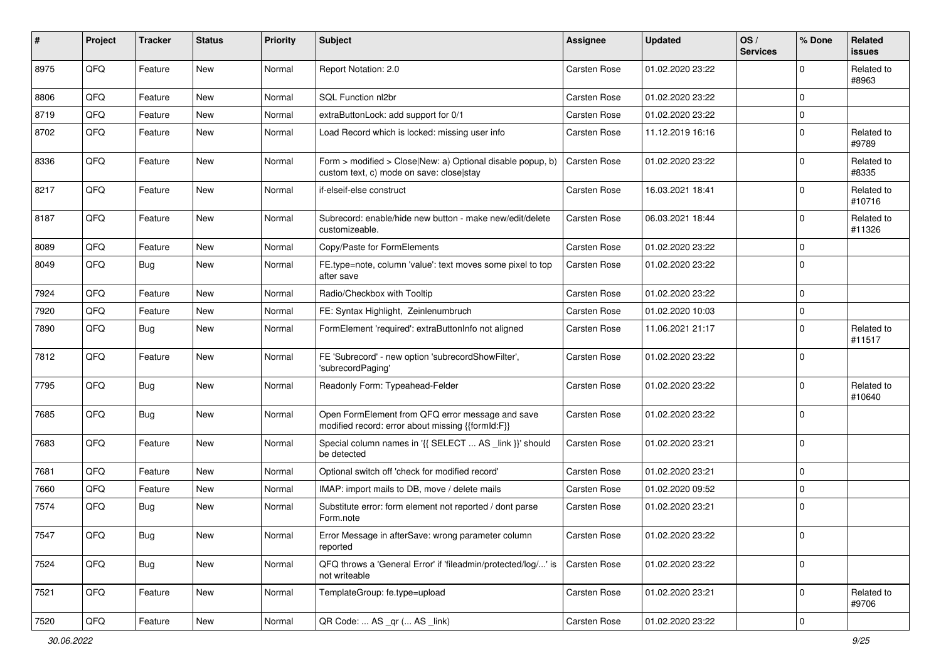| #    | Project | <b>Tracker</b> | <b>Status</b> | <b>Priority</b> | <b>Subject</b>                                                                                         | <b>Assignee</b>     | <b>Updated</b>   | OS/<br><b>Services</b> | % Done      | Related<br><b>issues</b> |
|------|---------|----------------|---------------|-----------------|--------------------------------------------------------------------------------------------------------|---------------------|------------------|------------------------|-------------|--------------------------|
| 8975 | QFQ     | Feature        | New           | Normal          | Report Notation: 2.0                                                                                   | <b>Carsten Rose</b> | 01.02.2020 23:22 |                        | 0           | Related to<br>#8963      |
| 8806 | QFQ     | Feature        | <b>New</b>    | Normal          | SQL Function nl2br                                                                                     | Carsten Rose        | 01.02.2020 23:22 |                        | 0           |                          |
| 8719 | QFQ     | Feature        | New           | Normal          | extraButtonLock: add support for 0/1                                                                   | Carsten Rose        | 01.02.2020 23:22 |                        | 0           |                          |
| 8702 | QFQ     | Feature        | <b>New</b>    | Normal          | Load Record which is locked: missing user info                                                         | Carsten Rose        | 11.12.2019 16:16 |                        | 0           | Related to<br>#9789      |
| 8336 | QFQ     | Feature        | New           | Normal          | Form > modified > Close New: a) Optional disable popup, b)<br>custom text, c) mode on save: close stay | Carsten Rose        | 01.02.2020 23:22 |                        | 0           | Related to<br>#8335      |
| 8217 | QFQ     | Feature        | <b>New</b>    | Normal          | if-elseif-else construct                                                                               | Carsten Rose        | 16.03.2021 18:41 |                        | 0           | Related to<br>#10716     |
| 8187 | QFQ     | Feature        | <b>New</b>    | Normal          | Subrecord: enable/hide new button - make new/edit/delete<br>customizeable.                             | Carsten Rose        | 06.03.2021 18:44 |                        | 0           | Related to<br>#11326     |
| 8089 | QFQ     | Feature        | New           | Normal          | Copy/Paste for FormElements                                                                            | Carsten Rose        | 01.02.2020 23:22 |                        | 0           |                          |
| 8049 | QFQ     | Bug            | <b>New</b>    | Normal          | FE.type=note, column 'value': text moves some pixel to top<br>after save                               | <b>Carsten Rose</b> | 01.02.2020 23:22 |                        | $\Omega$    |                          |
| 7924 | QFQ     | Feature        | <b>New</b>    | Normal          | Radio/Checkbox with Tooltip                                                                            | <b>Carsten Rose</b> | 01.02.2020 23:22 |                        | 0           |                          |
| 7920 | QFQ     | Feature        | <b>New</b>    | Normal          | FE: Syntax Highlight, Zeinlenumbruch                                                                   | Carsten Rose        | 01.02.2020 10:03 |                        | 0           |                          |
| 7890 | QFQ     | Bug            | <b>New</b>    | Normal          | FormElement 'required': extraButtonInfo not aligned                                                    | <b>Carsten Rose</b> | 11.06.2021 21:17 |                        | $\mathbf 0$ | Related to<br>#11517     |
| 7812 | QFQ     | Feature        | <b>New</b>    | Normal          | FE 'Subrecord' - new option 'subrecordShowFilter',<br>'subrecordPaging'                                | Carsten Rose        | 01.02.2020 23:22 |                        | 0           |                          |
| 7795 | QFQ     | Bug            | <b>New</b>    | Normal          | Readonly Form: Typeahead-Felder                                                                        | Carsten Rose        | 01.02.2020 23:22 |                        | 0           | Related to<br>#10640     |
| 7685 | QFQ     | <b>Bug</b>     | New           | Normal          | Open FormElement from QFQ error message and save<br>modified record: error about missing {{formId:F}}  | Carsten Rose        | 01.02.2020 23:22 |                        | 0           |                          |
| 7683 | QFQ     | Feature        | New           | Normal          | Special column names in '{{ SELECT  AS _link }}' should<br>be detected                                 | Carsten Rose        | 01.02.2020 23:21 |                        | 0           |                          |
| 7681 | QFQ     | Feature        | <b>New</b>    | Normal          | Optional switch off 'check for modified record'                                                        | Carsten Rose        | 01.02.2020 23:21 |                        | 0           |                          |
| 7660 | QFQ     | Feature        | <b>New</b>    | Normal          | IMAP: import mails to DB, move / delete mails                                                          | <b>Carsten Rose</b> | 01.02.2020 09:52 |                        | 0           |                          |
| 7574 | QFQ     | Bug            | <b>New</b>    | Normal          | Substitute error: form element not reported / dont parse<br>Form.note                                  | Carsten Rose        | 01.02.2020 23:21 |                        | 0           |                          |
| 7547 | QFQ     | <b>Bug</b>     | New           | Normal          | Error Message in afterSave: wrong parameter column<br>reported                                         | Carsten Rose        | 01.02.2020 23:22 |                        | 0           |                          |
| 7524 | QFQ     | <b>Bug</b>     | New           | Normal          | QFQ throws a 'General Error' if 'fileadmin/protected/log/' is<br>not writeable                         | Carsten Rose        | 01.02.2020 23:22 |                        | $\mathbf 0$ |                          |
| 7521 | QFQ     | Feature        | New           | Normal          | TemplateGroup: fe.type=upload                                                                          | Carsten Rose        | 01.02.2020 23:21 |                        | 0           | Related to<br>#9706      |
| 7520 | QFG     | Feature        | New           | Normal          | QR Code:  AS _qr ( AS _link)                                                                           | Carsten Rose        | 01.02.2020 23:22 |                        | 0           |                          |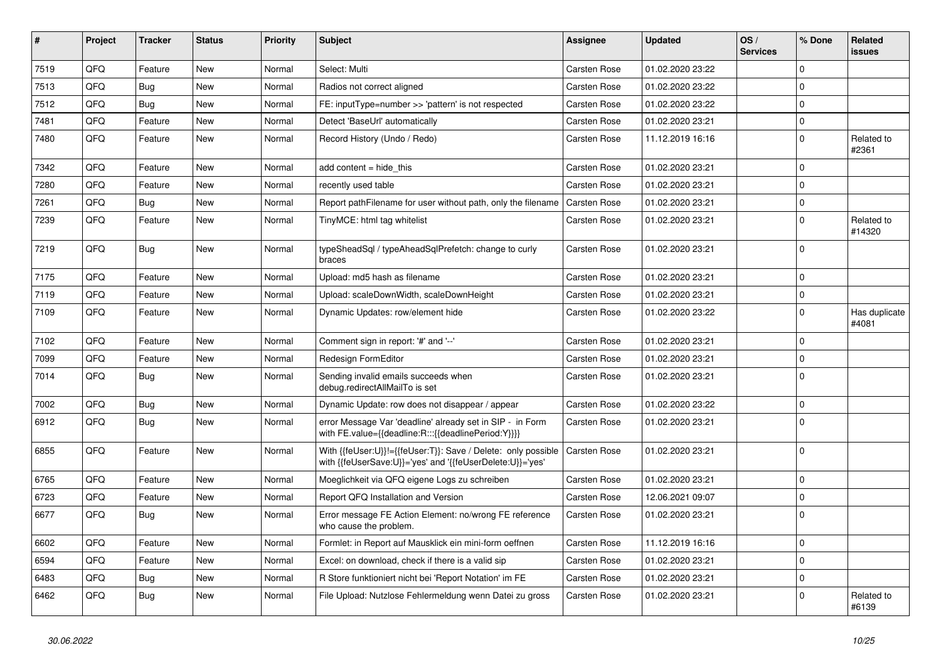| #    | Project | <b>Tracker</b> | <b>Status</b> | <b>Priority</b> | <b>Subject</b>                                                                                                             | Assignee            | <b>Updated</b>   | OS/<br><b>Services</b> | % Done      | Related<br>issues      |
|------|---------|----------------|---------------|-----------------|----------------------------------------------------------------------------------------------------------------------------|---------------------|------------------|------------------------|-------------|------------------------|
| 7519 | QFQ     | Feature        | <b>New</b>    | Normal          | Select: Multi                                                                                                              | Carsten Rose        | 01.02.2020 23:22 |                        | $\Omega$    |                        |
| 7513 | QFQ     | Bug            | <b>New</b>    | Normal          | Radios not correct aligned                                                                                                 | Carsten Rose        | 01.02.2020 23:22 |                        | $\mathbf 0$ |                        |
| 7512 | QFQ     | Bug            | New           | Normal          | FE: inputType=number >> 'pattern' is not respected                                                                         | Carsten Rose        | 01.02.2020 23:22 |                        | $\mathbf 0$ |                        |
| 7481 | QFQ     | Feature        | <b>New</b>    | Normal          | Detect 'BaseUrl' automatically                                                                                             | <b>Carsten Rose</b> | 01.02.2020 23:21 |                        | $\mathbf 0$ |                        |
| 7480 | QFQ     | Feature        | <b>New</b>    | Normal          | Record History (Undo / Redo)                                                                                               | Carsten Rose        | 11.12.2019 16:16 |                        | $\Omega$    | Related to<br>#2361    |
| 7342 | QFQ     | Feature        | New           | Normal          | add content = hide_this                                                                                                    | <b>Carsten Rose</b> | 01.02.2020 23:21 |                        | $\mathbf 0$ |                        |
| 7280 | QFQ     | Feature        | <b>New</b>    | Normal          | recently used table                                                                                                        | Carsten Rose        | 01.02.2020 23:21 |                        | $\mathbf 0$ |                        |
| 7261 | QFQ     | Bug            | <b>New</b>    | Normal          | Report pathFilename for user without path, only the filename                                                               | <b>Carsten Rose</b> | 01.02.2020 23:21 |                        | $\mathbf 0$ |                        |
| 7239 | QFQ     | Feature        | New           | Normal          | TinyMCE: html tag whitelist                                                                                                | Carsten Rose        | 01.02.2020 23:21 |                        | $\mathbf 0$ | Related to<br>#14320   |
| 7219 | QFQ     | Bug            | <b>New</b>    | Normal          | typeSheadSql / typeAheadSqlPrefetch: change to curly<br>braces                                                             | Carsten Rose        | 01.02.2020 23:21 |                        | $\mathbf 0$ |                        |
| 7175 | QFQ     | Feature        | <b>New</b>    | Normal          | Upload: md5 hash as filename                                                                                               | Carsten Rose        | 01.02.2020 23:21 |                        | $\Omega$    |                        |
| 7119 | QFQ     | Feature        | <b>New</b>    | Normal          | Upload: scaleDownWidth, scaleDownHeight                                                                                    | Carsten Rose        | 01.02.2020 23:21 |                        | $\mathbf 0$ |                        |
| 7109 | QFQ     | Feature        | <b>New</b>    | Normal          | Dynamic Updates: row/element hide                                                                                          | Carsten Rose        | 01.02.2020 23:22 |                        | $\mathbf 0$ | Has duplicate<br>#4081 |
| 7102 | QFQ     | Feature        | New           | Normal          | Comment sign in report: '#' and '--'                                                                                       | Carsten Rose        | 01.02.2020 23:21 |                        | $\mathbf 0$ |                        |
| 7099 | QFQ     | Feature        | <b>New</b>    | Normal          | Redesign FormEditor                                                                                                        | Carsten Rose        | 01.02.2020 23:21 |                        | $\pmb{0}$   |                        |
| 7014 | QFQ     | <b>Bug</b>     | New           | Normal          | Sending invalid emails succeeds when<br>debug.redirectAllMailTo is set                                                     | Carsten Rose        | 01.02.2020 23:21 |                        | $\mathbf 0$ |                        |
| 7002 | QFQ     | <b>Bug</b>     | <b>New</b>    | Normal          | Dynamic Update: row does not disappear / appear                                                                            | <b>Carsten Rose</b> | 01.02.2020 23:22 |                        | $\Omega$    |                        |
| 6912 | QFQ     | <b>Bug</b>     | <b>New</b>    | Normal          | error Message Var 'deadline' already set in SIP - in Form<br>with FE.value={{deadline:R:::{{deadlinePeriod:Y}}}}           | Carsten Rose        | 01.02.2020 23:21 |                        | $\Omega$    |                        |
| 6855 | QFQ     | Feature        | <b>New</b>    | Normal          | With {{feUser:U}}!={{feUser:T}}: Save / Delete: only possible<br>with {{feUserSave:U}}='yes' and '{{feUserDelete:U}}='yes' | Carsten Rose        | 01.02.2020 23:21 |                        | $\mathbf 0$ |                        |
| 6765 | QFQ     | Feature        | <b>New</b>    | Normal          | Moeglichkeit via QFQ eigene Logs zu schreiben                                                                              | Carsten Rose        | 01.02.2020 23:21 |                        | $\mathbf 0$ |                        |
| 6723 | QFQ     | Feature        | <b>New</b>    | Normal          | Report QFQ Installation and Version                                                                                        | Carsten Rose        | 12.06.2021 09:07 |                        | $\mathbf 0$ |                        |
| 6677 | QFQ     | Bug            | New           | Normal          | Error message FE Action Element: no/wrong FE reference<br>who cause the problem.                                           | Carsten Rose        | 01.02.2020 23:21 |                        | $\mathbf 0$ |                        |
| 6602 | QFQ     | Feature        | <b>New</b>    | Normal          | Formlet: in Report auf Mausklick ein mini-form oeffnen                                                                     | Carsten Rose        | 11.12.2019 16:16 |                        | $\Omega$    |                        |
| 6594 | QFQ     | Feature        | <b>New</b>    | Normal          | Excel: on download, check if there is a valid sip                                                                          | Carsten Rose        | 01.02.2020 23:21 |                        | $\mathbf 0$ |                        |
| 6483 | QFQ     | Bug            | New           | Normal          | R Store funktioniert nicht bei 'Report Notation' im FE                                                                     | Carsten Rose        | 01.02.2020 23:21 |                        | $\mathbf 0$ |                        |
| 6462 | QFQ     | Bug            | <b>New</b>    | Normal          | File Upload: Nutzlose Fehlermeldung wenn Datei zu gross                                                                    | Carsten Rose        | 01.02.2020 23:21 |                        | $\mathbf 0$ | Related to<br>#6139    |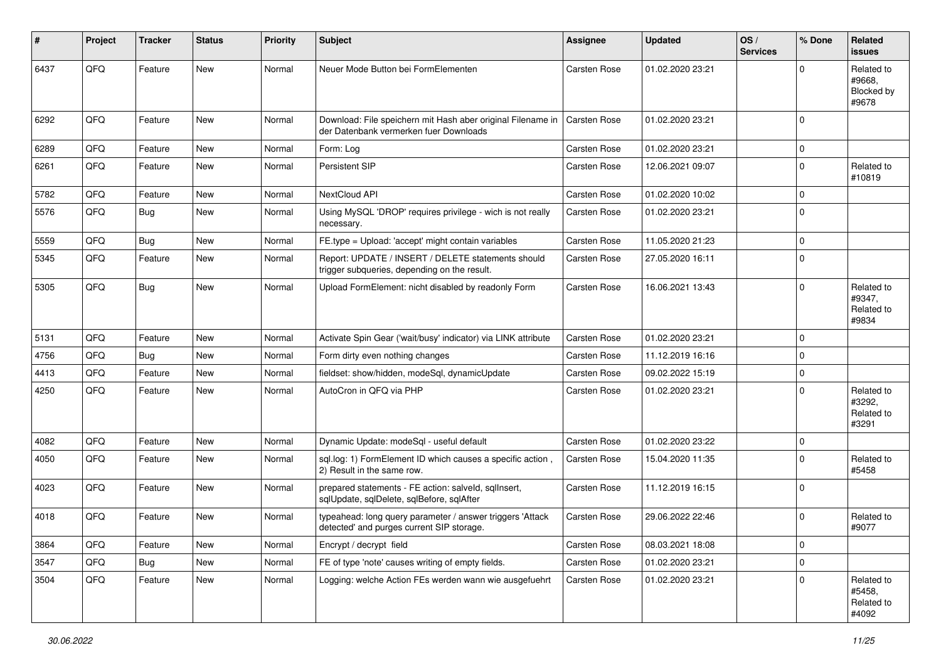| $\vert$ # | Project | <b>Tracker</b> | <b>Status</b> | <b>Priority</b> | <b>Subject</b>                                                                                         | <b>Assignee</b>     | <b>Updated</b>   | OS/<br><b>Services</b> | % Done      | Related<br><b>issues</b>                    |
|-----------|---------|----------------|---------------|-----------------|--------------------------------------------------------------------------------------------------------|---------------------|------------------|------------------------|-------------|---------------------------------------------|
| 6437      | QFQ     | Feature        | New           | Normal          | Neuer Mode Button bei FormElementen                                                                    | Carsten Rose        | 01.02.2020 23:21 |                        | 0           | Related to<br>#9668.<br>Blocked by<br>#9678 |
| 6292      | QFQ     | Feature        | <b>New</b>    | Normal          | Download: File speichern mit Hash aber original Filename in<br>der Datenbank vermerken fuer Downloads  | Carsten Rose        | 01.02.2020 23:21 |                        | 0           |                                             |
| 6289      | QFQ     | Feature        | New           | Normal          | Form: Log                                                                                              | Carsten Rose        | 01.02.2020 23:21 |                        | 0           |                                             |
| 6261      | QFQ     | Feature        | <b>New</b>    | Normal          | Persistent SIP                                                                                         | Carsten Rose        | 12.06.2021 09:07 |                        | 0           | Related to<br>#10819                        |
| 5782      | QFQ     | Feature        | New           | Normal          | NextCloud API                                                                                          | <b>Carsten Rose</b> | 01.02.2020 10:02 |                        | 0           |                                             |
| 5576      | QFQ     | Bug            | <b>New</b>    | Normal          | Using MySQL 'DROP' requires privilege - wich is not really<br>necessary.                               | Carsten Rose        | 01.02.2020 23:21 |                        | 0           |                                             |
| 5559      | QFQ     | Bug            | New           | Normal          | FE.type = Upload: 'accept' might contain variables                                                     | Carsten Rose        | 11.05.2020 21:23 |                        | 0           |                                             |
| 5345      | QFQ     | Feature        | New           | Normal          | Report: UPDATE / INSERT / DELETE statements should<br>trigger subqueries, depending on the result.     | <b>Carsten Rose</b> | 27.05.2020 16:11 |                        | $\mathbf 0$ |                                             |
| 5305      | QFQ     | <b>Bug</b>     | <b>New</b>    | Normal          | Upload FormElement: nicht disabled by readonly Form                                                    | Carsten Rose        | 16.06.2021 13:43 |                        | 0           | Related to<br>#9347,<br>Related to<br>#9834 |
| 5131      | QFQ     | Feature        | <b>New</b>    | Normal          | Activate Spin Gear ('wait/busy' indicator) via LINK attribute                                          | <b>Carsten Rose</b> | 01.02.2020 23:21 |                        | 0           |                                             |
| 4756      | QFQ     | <b>Bug</b>     | <b>New</b>    | Normal          | Form dirty even nothing changes                                                                        | Carsten Rose        | 11.12.2019 16:16 |                        | 0           |                                             |
| 4413      | QFQ     | Feature        | <b>New</b>    | Normal          | fieldset: show/hidden, modeSql, dynamicUpdate                                                          | <b>Carsten Rose</b> | 09.02.2022 15:19 |                        | 0           |                                             |
| 4250      | QFQ     | Feature        | <b>New</b>    | Normal          | AutoCron in QFQ via PHP                                                                                | Carsten Rose        | 01.02.2020 23:21 |                        | $\Omega$    | Related to<br>#3292,<br>Related to<br>#3291 |
| 4082      | QFQ     | Feature        | New           | Normal          | Dynamic Update: modeSql - useful default                                                               | Carsten Rose        | 01.02.2020 23:22 |                        | 0           |                                             |
| 4050      | QFQ     | Feature        | New           | Normal          | sql.log: 1) FormElement ID which causes a specific action,<br>2) Result in the same row.               | Carsten Rose        | 15.04.2020 11:35 |                        | 0           | Related to<br>#5458                         |
| 4023      | QFQ     | Feature        | New           | Normal          | prepared statements - FE action: salveld, sqllnsert,<br>sqlUpdate, sqlDelete, sqlBefore, sqlAfter      | Carsten Rose        | 11.12.2019 16:15 |                        | 0           |                                             |
| 4018      | QFQ     | Feature        | <b>New</b>    | Normal          | typeahead: long query parameter / answer triggers 'Attack<br>detected' and purges current SIP storage. | Carsten Rose        | 29.06.2022 22:46 |                        | 0           | Related to<br>#9077                         |
| 3864      | QFQ     | Feature        | New           | Normal          | Encrypt / decrypt field                                                                                | Carsten Rose        | 08.03.2021 18:08 |                        | 0           |                                             |
| 3547      | QFQ     | <b>Bug</b>     | New           | Normal          | FE of type 'note' causes writing of empty fields.                                                      | Carsten Rose        | 01.02.2020 23:21 |                        | 0           |                                             |
| 3504      | QFQ     | Feature        | New           | Normal          | Logging: welche Action FEs werden wann wie ausgefuehrt                                                 | Carsten Rose        | 01.02.2020 23:21 |                        | 0           | Related to<br>#5458,<br>Related to<br>#4092 |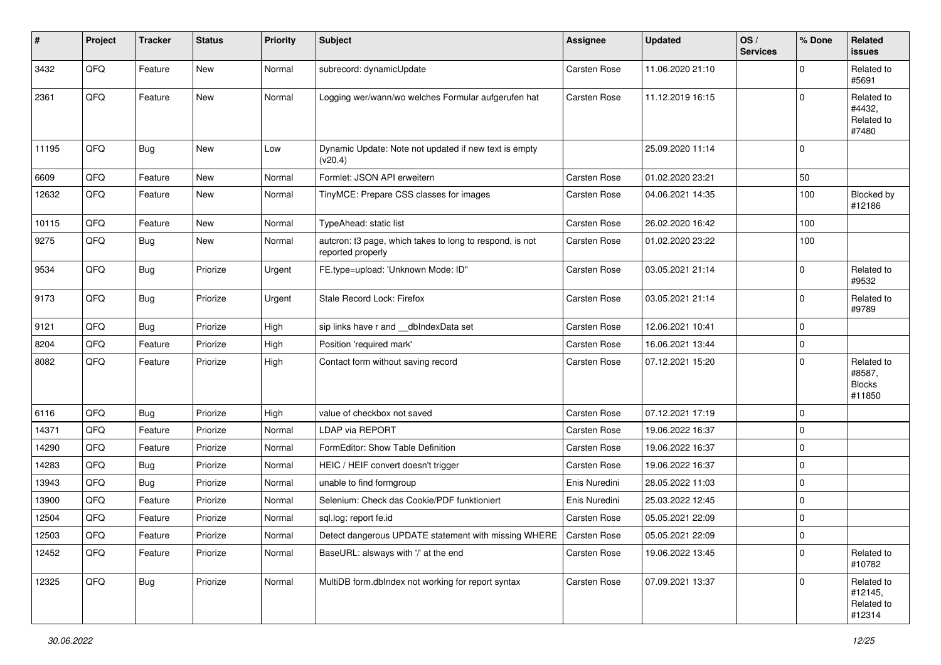| #     | Project | <b>Tracker</b> | <b>Status</b> | <b>Priority</b> | <b>Subject</b>                                                                | <b>Assignee</b> | <b>Updated</b>   | OS/<br><b>Services</b> | % Done      | Related<br>issues                               |
|-------|---------|----------------|---------------|-----------------|-------------------------------------------------------------------------------|-----------------|------------------|------------------------|-------------|-------------------------------------------------|
| 3432  | QFQ     | Feature        | New           | Normal          | subrecord: dynamicUpdate                                                      | Carsten Rose    | 11.06.2020 21:10 |                        | 0           | Related to<br>#5691                             |
| 2361  | QFQ     | Feature        | New           | Normal          | Logging wer/wann/wo welches Formular aufgerufen hat                           | Carsten Rose    | 11.12.2019 16:15 |                        | $\Omega$    | Related to<br>#4432,<br>Related to<br>#7480     |
| 11195 | QFQ     | <b>Bug</b>     | <b>New</b>    | Low             | Dynamic Update: Note not updated if new text is empty<br>(v20.4)              |                 | 25.09.2020 11:14 |                        | $\mathbf 0$ |                                                 |
| 6609  | QFQ     | Feature        | <b>New</b>    | Normal          | Formlet: JSON API erweitern                                                   | Carsten Rose    | 01.02.2020 23:21 |                        | 50          |                                                 |
| 12632 | QFQ     | Feature        | <b>New</b>    | Normal          | TinyMCE: Prepare CSS classes for images                                       | Carsten Rose    | 04.06.2021 14:35 |                        | 100         | Blocked by<br>#12186                            |
| 10115 | QFQ     | Feature        | New           | Normal          | TypeAhead: static list                                                        | Carsten Rose    | 26.02.2020 16:42 |                        | 100         |                                                 |
| 9275  | QFQ     | <b>Bug</b>     | <b>New</b>    | Normal          | autcron: t3 page, which takes to long to respond, is not<br>reported properly | Carsten Rose    | 01.02.2020 23:22 |                        | 100         |                                                 |
| 9534  | QFQ     | <b>Bug</b>     | Priorize      | Urgent          | FE.type=upload: 'Unknown Mode: ID"                                            | Carsten Rose    | 03.05.2021 21:14 |                        | 0           | Related to<br>#9532                             |
| 9173  | QFQ     | <b>Bug</b>     | Priorize      | Urgent          | Stale Record Lock: Firefox                                                    | Carsten Rose    | 03.05.2021 21:14 |                        | 0           | Related to<br>#9789                             |
| 9121  | QFQ     | Bug            | Priorize      | High            | sip links have r and __dbIndexData set                                        | Carsten Rose    | 12.06.2021 10:41 |                        | 0           |                                                 |
| 8204  | QFQ     | Feature        | Priorize      | High            | Position 'required mark'                                                      | Carsten Rose    | 16.06.2021 13:44 |                        | $\mathbf 0$ |                                                 |
| 8082  | QFQ     | Feature        | Priorize      | High            | Contact form without saving record                                            | Carsten Rose    | 07.12.2021 15:20 |                        | 0           | Related to<br>#8587,<br><b>Blocks</b><br>#11850 |
| 6116  | QFQ     | Bug            | Priorize      | High            | value of checkbox not saved                                                   | Carsten Rose    | 07.12.2021 17:19 |                        | $\mathbf 0$ |                                                 |
| 14371 | QFQ     | Feature        | Priorize      | Normal          | <b>LDAP via REPORT</b>                                                        | Carsten Rose    | 19.06.2022 16:37 |                        | 0           |                                                 |
| 14290 | QFQ     | Feature        | Priorize      | Normal          | FormEditor: Show Table Definition                                             | Carsten Rose    | 19.06.2022 16:37 |                        | 0           |                                                 |
| 14283 | QFQ     | Bug            | Priorize      | Normal          | HEIC / HEIF convert doesn't trigger                                           | Carsten Rose    | 19.06.2022 16:37 |                        | 0           |                                                 |
| 13943 | QFQ     | Bug            | Priorize      | Normal          | unable to find formgroup                                                      | Enis Nuredini   | 28.05.2022 11:03 |                        | $\Omega$    |                                                 |
| 13900 | QFQ     | Feature        | Priorize      | Normal          | Selenium: Check das Cookie/PDF funktioniert                                   | Enis Nuredini   | 25.03.2022 12:45 |                        | 0           |                                                 |
| 12504 | QFQ     | Feature        | Priorize      | Normal          | sql.log: report fe.id                                                         | Carsten Rose    | 05.05.2021 22:09 |                        | $\mathbf 0$ |                                                 |
| 12503 | QFQ     | Feature        | Priorize      | Normal          | Detect dangerous UPDATE statement with missing WHERE                          | Carsten Rose    | 05.05.2021 22:09 |                        | 0           |                                                 |
| 12452 | QFQ     | Feature        | Priorize      | Normal          | BaseURL: alsways with '/' at the end                                          | Carsten Rose    | 19.06.2022 13:45 |                        | 0           | Related to<br>#10782                            |
| 12325 | QFQ     | <b>Bug</b>     | Priorize      | Normal          | MultiDB form.dblndex not working for report syntax                            | Carsten Rose    | 07.09.2021 13:37 |                        | $\mathbf 0$ | Related to<br>#12145,<br>Related to<br>#12314   |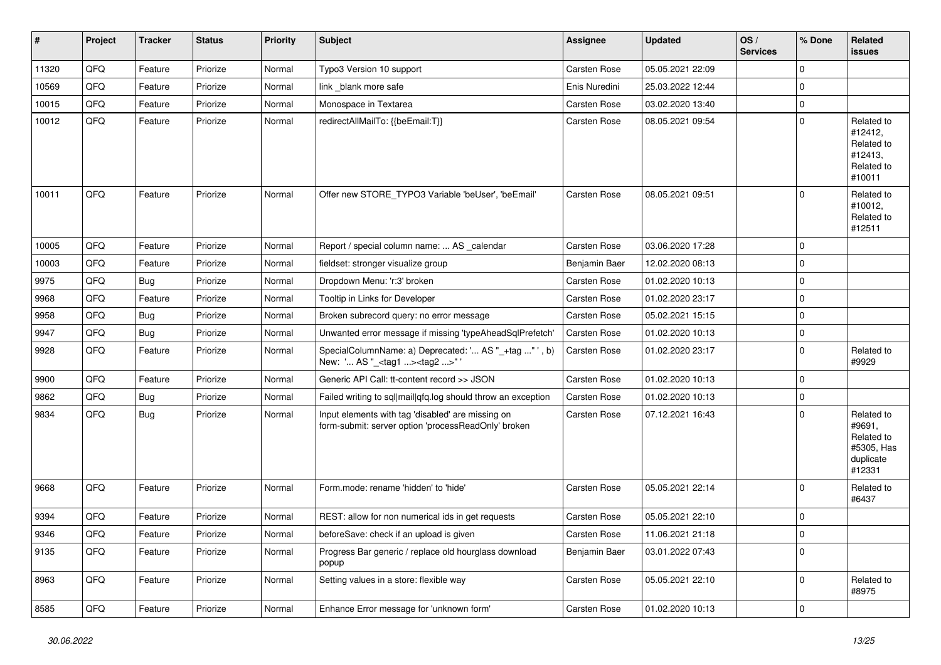| #     | Project | <b>Tracker</b> | <b>Status</b> | <b>Priority</b> | Subject                                                                                                  | <b>Assignee</b>     | <b>Updated</b>   | OS/<br><b>Services</b> | % Done       | <b>Related</b><br><b>issues</b>                                         |
|-------|---------|----------------|---------------|-----------------|----------------------------------------------------------------------------------------------------------|---------------------|------------------|------------------------|--------------|-------------------------------------------------------------------------|
| 11320 | QFQ     | Feature        | Priorize      | Normal          | Typo3 Version 10 support                                                                                 | Carsten Rose        | 05.05.2021 22:09 |                        | 0            |                                                                         |
| 10569 | QFQ     | Feature        | Priorize      | Normal          | link blank more safe                                                                                     | Enis Nuredini       | 25.03.2022 12:44 |                        | 0            |                                                                         |
| 10015 | QFQ     | Feature        | Priorize      | Normal          | Monospace in Textarea                                                                                    | Carsten Rose        | 03.02.2020 13:40 |                        | $\mathbf 0$  |                                                                         |
| 10012 | QFQ     | Feature        | Priorize      | Normal          | redirectAllMailTo: {{beEmail:T}}                                                                         | Carsten Rose        | 08.05.2021 09:54 |                        | $\mathbf 0$  | Related to<br>#12412,<br>Related to<br>#12413,<br>Related to<br>#10011  |
| 10011 | QFQ     | Feature        | Priorize      | Normal          | Offer new STORE_TYPO3 Variable 'beUser', 'beEmail'                                                       | <b>Carsten Rose</b> | 08.05.2021 09:51 |                        | $\mathbf 0$  | Related to<br>#10012,<br>Related to<br>#12511                           |
| 10005 | QFQ     | Feature        | Priorize      | Normal          | Report / special column name:  AS _calendar                                                              | Carsten Rose        | 03.06.2020 17:28 |                        | $\mathbf 0$  |                                                                         |
| 10003 | QFQ     | Feature        | Priorize      | Normal          | fieldset: stronger visualize group                                                                       | Benjamin Baer       | 12.02.2020 08:13 |                        | 0            |                                                                         |
| 9975  | QFQ     | Bug            | Priorize      | Normal          | Dropdown Menu: 'r:3' broken                                                                              | Carsten Rose        | 01.02.2020 10:13 |                        | 0            |                                                                         |
| 9968  | QFQ     | Feature        | Priorize      | Normal          | Tooltip in Links for Developer                                                                           | Carsten Rose        | 01.02.2020 23:17 |                        | $\mathbf 0$  |                                                                         |
| 9958  | QFQ     | <b>Bug</b>     | Priorize      | Normal          | Broken subrecord query: no error message                                                                 | Carsten Rose        | 05.02.2021 15:15 |                        | 0            |                                                                         |
| 9947  | QFQ     | Bug            | Priorize      | Normal          | Unwanted error message if missing 'typeAheadSqlPrefetch'                                                 | Carsten Rose        | 01.02.2020 10:13 |                        | 0            |                                                                         |
| 9928  | QFQ     | Feature        | Priorize      | Normal          | SpecialColumnName: a) Deprecated: ' AS "_+tag " ', b)<br>New: ' AS "_ <tag1><tag2>" '</tag2></tag1>      | <b>Carsten Rose</b> | 01.02.2020 23:17 |                        | $\mathbf{0}$ | Related to<br>#9929                                                     |
| 9900  | QFQ     | Feature        | Priorize      | Normal          | Generic API Call: tt-content record >> JSON                                                              | Carsten Rose        | 01.02.2020 10:13 |                        | $\mathbf 0$  |                                                                         |
| 9862  | QFQ     | <b>Bug</b>     | Priorize      | Normal          | Failed writing to sql mail qfq.log should throw an exception                                             | Carsten Rose        | 01.02.2020 10:13 |                        | 0            |                                                                         |
| 9834  | QFQ     | Bug            | Priorize      | Normal          | Input elements with tag 'disabled' are missing on<br>form-submit: server option 'processReadOnly' broken | <b>Carsten Rose</b> | 07.12.2021 16:43 |                        | 0            | Related to<br>#9691,<br>Related to<br>#5305, Has<br>duplicate<br>#12331 |
| 9668  | QFQ     | Feature        | Priorize      | Normal          | Form.mode: rename 'hidden' to 'hide'                                                                     | Carsten Rose        | 05.05.2021 22:14 |                        | $\mathbf 0$  | Related to<br>#6437                                                     |
| 9394  | QFQ     | Feature        | Priorize      | Normal          | REST: allow for non numerical ids in get requests                                                        | Carsten Rose        | 05.05.2021 22:10 |                        | 0            |                                                                         |
| 9346  | QFQ     | Feature        | Priorize      | Normal          | beforeSave: check if an upload is given                                                                  | Carsten Rose        | 11.06.2021 21:18 |                        | O            |                                                                         |
| 9135  | QFQ     | Feature        | Priorize      | Normal          | Progress Bar generic / replace old hourglass download<br>popup                                           | Benjamin Baer       | 03.01.2022 07:43 |                        | $\mathbf{0}$ |                                                                         |
| 8963  | QFQ     | Feature        | Priorize      | Normal          | Setting values in a store: flexible way                                                                  | Carsten Rose        | 05.05.2021 22:10 |                        | 0            | Related to<br>#8975                                                     |
| 8585  | QFQ     | Feature        | Priorize      | Normal          | Enhance Error message for 'unknown form'                                                                 | Carsten Rose        | 01.02.2020 10:13 |                        | $\pmb{0}$    |                                                                         |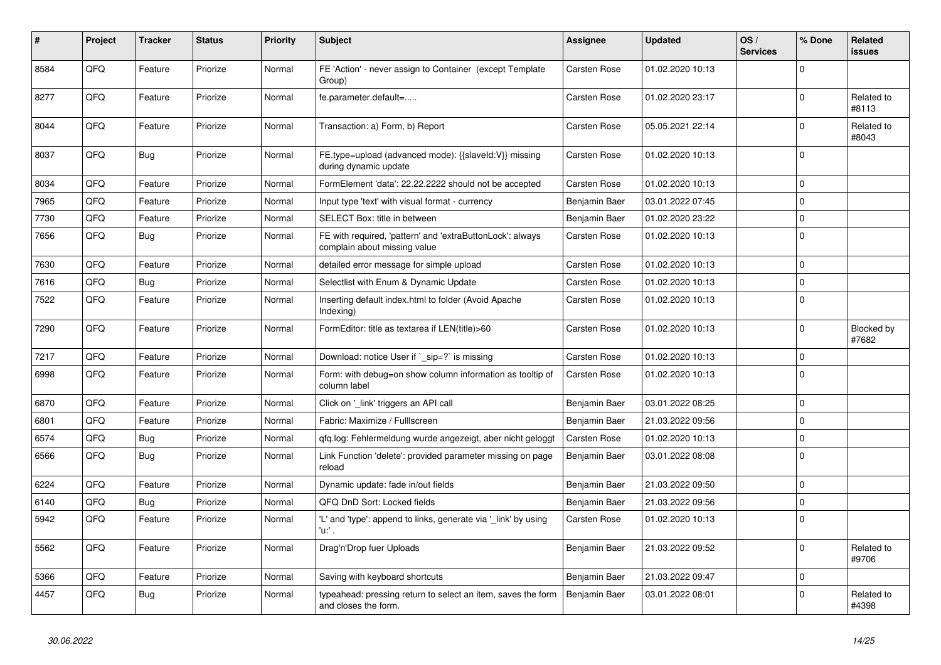| #    | <b>Project</b> | <b>Tracker</b> | <b>Status</b> | <b>Priority</b> | <b>Subject</b>                                                                            | Assignee            | <b>Updated</b>   | OS/<br><b>Services</b> | % Done      | Related<br>issues   |
|------|----------------|----------------|---------------|-----------------|-------------------------------------------------------------------------------------------|---------------------|------------------|------------------------|-------------|---------------------|
| 8584 | QFQ            | Feature        | Priorize      | Normal          | FE 'Action' - never assign to Container (except Template<br>Group)                        | Carsten Rose        | 01.02.2020 10:13 |                        | $\Omega$    |                     |
| 8277 | QFQ            | Feature        | Priorize      | Normal          | fe.parameter.default=                                                                     | Carsten Rose        | 01.02.2020 23:17 |                        | 0           | Related to<br>#8113 |
| 8044 | QFQ            | Feature        | Priorize      | Normal          | Transaction: a) Form, b) Report                                                           | Carsten Rose        | 05.05.2021 22:14 |                        | $\mathbf 0$ | Related to<br>#8043 |
| 8037 | QFQ            | <b>Bug</b>     | Priorize      | Normal          | FE.type=upload (advanced mode): {{slaveId:V}} missing<br>during dynamic update            | Carsten Rose        | 01.02.2020 10:13 |                        | $\Omega$    |                     |
| 8034 | QFQ            | Feature        | Priorize      | Normal          | FormElement 'data': 22.22.2222 should not be accepted                                     | Carsten Rose        | 01.02.2020 10:13 |                        | 0           |                     |
| 7965 | QFQ            | Feature        | Priorize      | Normal          | Input type 'text' with visual format - currency                                           | Benjamin Baer       | 03.01.2022 07:45 |                        | $\mathbf 0$ |                     |
| 7730 | QFQ            | Feature        | Priorize      | Normal          | SELECT Box: title in between                                                              | Benjamin Baer       | 01.02.2020 23:22 |                        | 0           |                     |
| 7656 | QFQ            | <b>Bug</b>     | Priorize      | Normal          | FE with required, 'pattern' and 'extraButtonLock': always<br>complain about missing value | Carsten Rose        | 01.02.2020 10:13 |                        | $\Omega$    |                     |
| 7630 | QFQ            | Feature        | Priorize      | Normal          | detailed error message for simple upload                                                  | <b>Carsten Rose</b> | 01.02.2020 10:13 |                        | $\mathbf 0$ |                     |
| 7616 | QFQ            | <b>Bug</b>     | Priorize      | Normal          | Selectlist with Enum & Dynamic Update                                                     | Carsten Rose        | 01.02.2020 10:13 |                        | 0           |                     |
| 7522 | QFQ            | Feature        | Priorize      | Normal          | Inserting default index.html to folder (Avoid Apache<br>Indexing)                         | Carsten Rose        | 01.02.2020 10:13 |                        | $\mathbf 0$ |                     |
| 7290 | QFQ            | Feature        | Priorize      | Normal          | FormEditor: title as textarea if LEN(title)>60                                            | Carsten Rose        | 01.02.2020 10:13 |                        | $\mathbf 0$ | Blocked by<br>#7682 |
| 7217 | QFQ            | Feature        | Priorize      | Normal          | Download: notice User if `_sip=?` is missing                                              | Carsten Rose        | 01.02.2020 10:13 |                        | $\mathbf 0$ |                     |
| 6998 | QFQ            | Feature        | Priorize      | Normal          | Form: with debug=on show column information as tooltip of<br>column label                 | Carsten Rose        | 01.02.2020 10:13 |                        | $\mathbf 0$ |                     |
| 6870 | QFQ            | Feature        | Priorize      | Normal          | Click on '_link' triggers an API call                                                     | Benjamin Baer       | 03.01.2022 08:25 |                        | $\mathbf 0$ |                     |
| 6801 | QFQ            | Feature        | Priorize      | Normal          | Fabric: Maximize / Fulllscreen                                                            | Benjamin Baer       | 21.03.2022 09:56 |                        | $\mathbf 0$ |                     |
| 6574 | QFQ            | Bug            | Priorize      | Normal          | qfq.log: Fehlermeldung wurde angezeigt, aber nicht geloggt                                | Carsten Rose        | 01.02.2020 10:13 |                        | 0           |                     |
| 6566 | QFQ            | <b>Bug</b>     | Priorize      | Normal          | Link Function 'delete': provided parameter missing on page<br>reload                      | Benjamin Baer       | 03.01.2022 08:08 |                        | $\Omega$    |                     |
| 6224 | QFQ            | Feature        | Priorize      | Normal          | Dynamic update: fade in/out fields                                                        | Benjamin Baer       | 21.03.2022 09:50 |                        | 0           |                     |
| 6140 | QFQ            | Bug            | Priorize      | Normal          | QFQ DnD Sort: Locked fields                                                               | Benjamin Baer       | 21.03.2022 09:56 |                        | 0           |                     |
| 5942 | QFQ            | Feature        | Priorize      | Normal          | 'L' and 'type': append to links, generate via 'link' by using<br>'u' .                    | Carsten Rose        | 01.02.2020 10:13 |                        | $\mathbf 0$ |                     |
| 5562 | QFQ            | Feature        | Priorize      | Normal          | Drag'n'Drop fuer Uploads                                                                  | Benjamin Baer       | 21.03.2022 09:52 |                        | $\Omega$    | Related to<br>#9706 |
| 5366 | QFQ            | Feature        | Priorize      | Normal          | Saving with keyboard shortcuts                                                            | Benjamin Baer       | 21.03.2022 09:47 |                        | $\mathbf 0$ |                     |
| 4457 | QFQ            | <b>Bug</b>     | Priorize      | Normal          | typeahead: pressing return to select an item, saves the form<br>and closes the form.      | Benjamin Baer       | 03.01.2022 08:01 |                        | $\Omega$    | Related to<br>#4398 |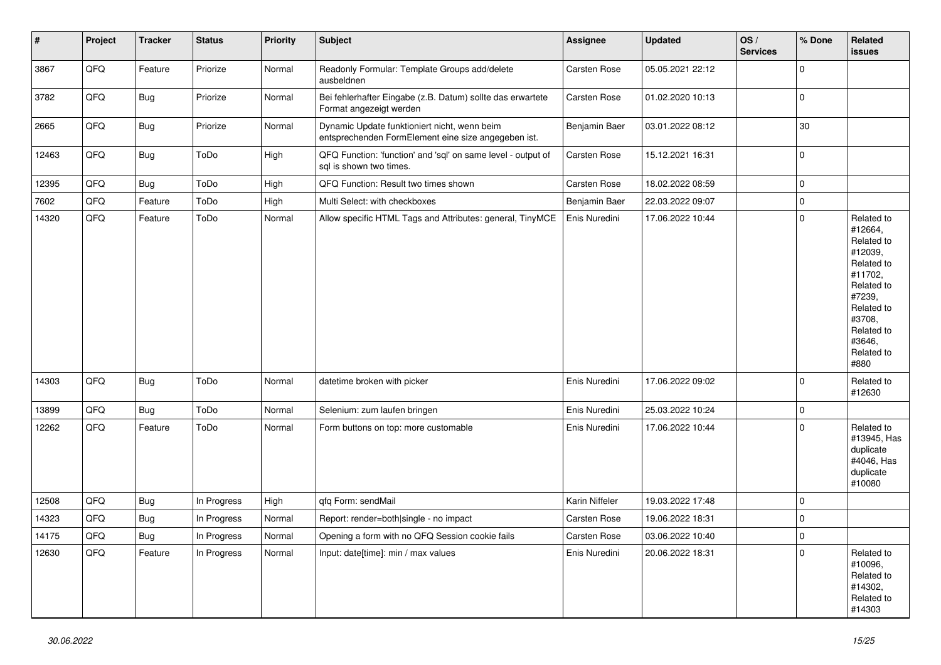| $\vert$ # | Project | <b>Tracker</b> | <b>Status</b> | <b>Priority</b> | <b>Subject</b>                                                                                      | <b>Assignee</b> | <b>Updated</b>   | OS/<br><b>Services</b> | % Done       | Related<br>issues                                                                                                                                                     |
|-----------|---------|----------------|---------------|-----------------|-----------------------------------------------------------------------------------------------------|-----------------|------------------|------------------------|--------------|-----------------------------------------------------------------------------------------------------------------------------------------------------------------------|
| 3867      | QFQ     | Feature        | Priorize      | Normal          | Readonly Formular: Template Groups add/delete<br>ausbeldnen                                         | Carsten Rose    | 05.05.2021 22:12 |                        | $\mathbf 0$  |                                                                                                                                                                       |
| 3782      | QFQ     | <b>Bug</b>     | Priorize      | Normal          | Bei fehlerhafter Eingabe (z.B. Datum) sollte das erwartete<br>Format angezeigt werden               | Carsten Rose    | 01.02.2020 10:13 |                        | $\mathbf 0$  |                                                                                                                                                                       |
| 2665      | QFQ     | <b>Bug</b>     | Priorize      | Normal          | Dynamic Update funktioniert nicht, wenn beim<br>entsprechenden FormElement eine size angegeben ist. | Benjamin Baer   | 03.01.2022 08:12 |                        | 30           |                                                                                                                                                                       |
| 12463     | QFQ     | Bug            | ToDo          | High            | QFQ Function: 'function' and 'sql' on same level - output of<br>sql is shown two times.             | Carsten Rose    | 15.12.2021 16:31 |                        | $\mathbf 0$  |                                                                                                                                                                       |
| 12395     | QFQ     | Bug            | ToDo          | High            | QFQ Function: Result two times shown                                                                | Carsten Rose    | 18.02.2022 08:59 |                        | 0            |                                                                                                                                                                       |
| 7602      | QFQ     | Feature        | ToDo          | High            | Multi Select: with checkboxes                                                                       | Benjamin Baer   | 22.03.2022 09:07 |                        | $\mathbf 0$  |                                                                                                                                                                       |
| 14320     | QFQ     | Feature        | ToDo          | Normal          | Allow specific HTML Tags and Attributes: general, TinyMCE                                           | Enis Nuredini   | 17.06.2022 10:44 |                        | $\mathbf 0$  | Related to<br>#12664,<br>Related to<br>#12039,<br>Related to<br>#11702,<br>Related to<br>#7239,<br>Related to<br>#3708,<br>Related to<br>#3646,<br>Related to<br>#880 |
| 14303     | QFQ     | Bug            | ToDo          | Normal          | datetime broken with picker                                                                         | Enis Nuredini   | 17.06.2022 09:02 |                        | $\mathbf{0}$ | Related to<br>#12630                                                                                                                                                  |
| 13899     | QFQ     | <b>Bug</b>     | ToDo          | Normal          | Selenium: zum laufen bringen                                                                        | Enis Nuredini   | 25.03.2022 10:24 |                        | 0            |                                                                                                                                                                       |
| 12262     | QFQ     | Feature        | ToDo          | Normal          | Form buttons on top: more customable                                                                | Enis Nuredini   | 17.06.2022 10:44 |                        | 0            | Related to<br>#13945, Has<br>duplicate<br>#4046, Has<br>duplicate<br>#10080                                                                                           |
| 12508     | QFQ     | <b>Bug</b>     | In Progress   | High            | qfq Form: sendMail                                                                                  | Karin Niffeler  | 19.03.2022 17:48 |                        | $\mathbf 0$  |                                                                                                                                                                       |
| 14323     | QFQ     | <b>Bug</b>     | In Progress   | Normal          | Report: render=both single - no impact                                                              | Carsten Rose    | 19.06.2022 18:31 |                        | $\Omega$     |                                                                                                                                                                       |
| 14175     | QFQ     | <b>Bug</b>     | In Progress   | Normal          | Opening a form with no QFQ Session cookie fails                                                     | Carsten Rose    | 03.06.2022 10:40 |                        | $\mathbf{0}$ |                                                                                                                                                                       |
| 12630     | QFQ     | Feature        | In Progress   | Normal          | Input: date[time]: min / max values                                                                 | Enis Nuredini   | 20.06.2022 18:31 |                        | $\Omega$     | Related to<br>#10096.<br>Related to<br>#14302,<br>Related to<br>#14303                                                                                                |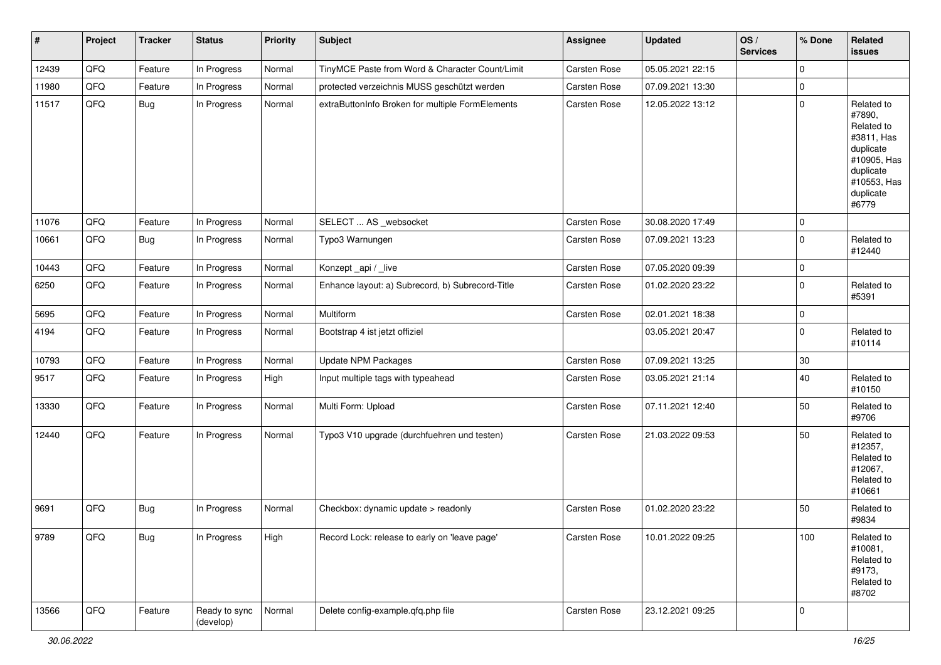| $\vert$ # | Project | <b>Tracker</b> | <b>Status</b>              | <b>Priority</b> | <b>Subject</b>                                   | <b>Assignee</b>     | <b>Updated</b>   | OS/<br><b>Services</b> | % Done      | Related<br>issues                                                                                                              |
|-----------|---------|----------------|----------------------------|-----------------|--------------------------------------------------|---------------------|------------------|------------------------|-------------|--------------------------------------------------------------------------------------------------------------------------------|
| 12439     | QFQ     | Feature        | In Progress                | Normal          | TinyMCE Paste from Word & Character Count/Limit  | Carsten Rose        | 05.05.2021 22:15 |                        | $\mathbf 0$ |                                                                                                                                |
| 11980     | QFQ     | Feature        | In Progress                | Normal          | protected verzeichnis MUSS geschützt werden      | Carsten Rose        | 07.09.2021 13:30 |                        | 0           |                                                                                                                                |
| 11517     | QFQ     | <b>Bug</b>     | In Progress                | Normal          | extraButtonInfo Broken for multiple FormElements | Carsten Rose        | 12.05.2022 13:12 |                        | 0           | Related to<br>#7890,<br>Related to<br>#3811, Has<br>duplicate<br>#10905, Has<br>duplicate<br>#10553, Has<br>duplicate<br>#6779 |
| 11076     | QFQ     | Feature        | In Progress                | Normal          | SELECT  AS _websocket                            | Carsten Rose        | 30.08.2020 17:49 |                        | 0           |                                                                                                                                |
| 10661     | QFQ     | Bug            | In Progress                | Normal          | Typo3 Warnungen                                  | Carsten Rose        | 07.09.2021 13:23 |                        | 0           | Related to<br>#12440                                                                                                           |
| 10443     | QFQ     | Feature        | In Progress                | Normal          | Konzept_api / _live                              | Carsten Rose        | 07.05.2020 09:39 |                        | 0           |                                                                                                                                |
| 6250      | QFQ     | Feature        | In Progress                | Normal          | Enhance layout: a) Subrecord, b) Subrecord-Title | Carsten Rose        | 01.02.2020 23:22 |                        | $\mathbf 0$ | Related to<br>#5391                                                                                                            |
| 5695      | QFQ     | Feature        | In Progress                | Normal          | Multiform                                        | Carsten Rose        | 02.01.2021 18:38 |                        | 0           |                                                                                                                                |
| 4194      | QFQ     | Feature        | In Progress                | Normal          | Bootstrap 4 ist jetzt offiziel                   |                     | 03.05.2021 20:47 |                        | 0           | Related to<br>#10114                                                                                                           |
| 10793     | QFQ     | Feature        | In Progress                | Normal          | Update NPM Packages                              | Carsten Rose        | 07.09.2021 13:25 |                        | 30          |                                                                                                                                |
| 9517      | QFQ     | Feature        | In Progress                | High            | Input multiple tags with typeahead               | Carsten Rose        | 03.05.2021 21:14 |                        | 40          | Related to<br>#10150                                                                                                           |
| 13330     | QFQ     | Feature        | In Progress                | Normal          | Multi Form: Upload                               | Carsten Rose        | 07.11.2021 12:40 |                        | 50          | Related to<br>#9706                                                                                                            |
| 12440     | QFO     | Feature        | In Progress                | Normal          | Typo3 V10 upgrade (durchfuehren und testen)      | Carsten Rose        | 21.03.2022 09:53 |                        | 50          | Related to<br>#12357,<br>Related to<br>#12067,<br>Related to<br>#10661                                                         |
| 9691      | QFQ     | <b>Bug</b>     | In Progress                | Normal          | Checkbox: dynamic update > readonly              | Carsten Rose        | 01.02.2020 23:22 |                        | 50          | Related to<br>#9834                                                                                                            |
| 9789      | QFQ     | <b>Bug</b>     | In Progress                | High            | Record Lock: release to early on 'leave page'    | Carsten Rose        | 10.01.2022 09:25 |                        | 100         | Related to<br>#10081,<br>Related to<br>#9173,<br>Related to<br>#8702                                                           |
| 13566     | QFG     | Feature        | Ready to sync<br>(develop) | Normal          | Delete config-example.qfq.php file               | <b>Carsten Rose</b> | 23.12.2021 09:25 |                        | 0           |                                                                                                                                |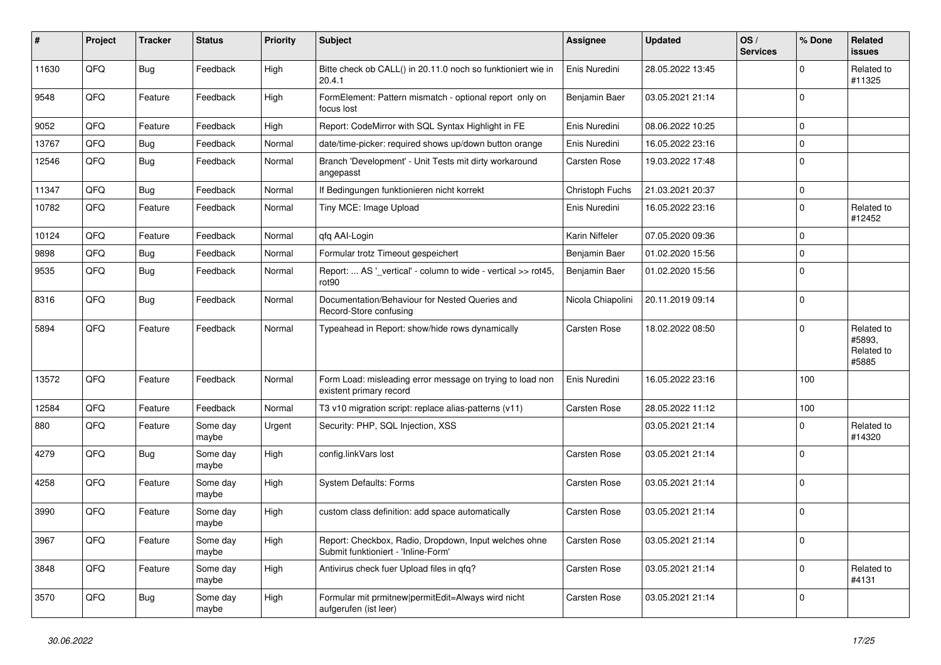| #     | Project | <b>Tracker</b> | <b>Status</b>     | <b>Priority</b> | <b>Subject</b>                                                                               | <b>Assignee</b>   | <b>Updated</b>   | OS/<br><b>Services</b> | % Done      | Related<br><b>issues</b>                    |
|-------|---------|----------------|-------------------|-----------------|----------------------------------------------------------------------------------------------|-------------------|------------------|------------------------|-------------|---------------------------------------------|
| 11630 | QFQ     | <b>Bug</b>     | Feedback          | High            | Bitte check ob CALL() in 20.11.0 noch so funktioniert wie in<br>20.4.1                       | Enis Nuredini     | 28.05.2022 13:45 |                        | 0           | Related to<br>#11325                        |
| 9548  | QFQ     | Feature        | Feedback          | High            | FormElement: Pattern mismatch - optional report only on<br>focus lost                        | Benjamin Baer     | 03.05.2021 21:14 |                        | 0           |                                             |
| 9052  | QFQ     | Feature        | Feedback          | High            | Report: CodeMirror with SQL Syntax Highlight in FE                                           | Enis Nuredini     | 08.06.2022 10:25 |                        | 0           |                                             |
| 13767 | QFQ     | <b>Bug</b>     | Feedback          | Normal          | date/time-picker: required shows up/down button orange                                       | Enis Nuredini     | 16.05.2022 23:16 |                        | 0           |                                             |
| 12546 | QFQ     | Bug            | Feedback          | Normal          | Branch 'Development' - Unit Tests mit dirty workaround<br>angepasst                          | Carsten Rose      | 19.03.2022 17:48 |                        | 0           |                                             |
| 11347 | QFQ     | <b>Bug</b>     | Feedback          | Normal          | If Bedingungen funktionieren nicht korrekt                                                   | Christoph Fuchs   | 21.03.2021 20:37 |                        | 0           |                                             |
| 10782 | QFQ     | Feature        | Feedback          | Normal          | Tiny MCE: Image Upload                                                                       | Enis Nuredini     | 16.05.2022 23:16 |                        | $\mathbf 0$ | Related to<br>#12452                        |
| 10124 | QFQ     | Feature        | Feedback          | Normal          | qfq AAI-Login                                                                                | Karin Niffeler    | 07.05.2020 09:36 |                        | 0           |                                             |
| 9898  | QFQ     | Bug            | Feedback          | Normal          | Formular trotz Timeout gespeichert                                                           | Benjamin Baer     | 01.02.2020 15:56 |                        | 0           |                                             |
| 9535  | QFQ     | Bug            | Feedback          | Normal          | Report:  AS '_vertical' - column to wide - vertical >> rot45,<br>rot <sub>90</sub>           | Benjamin Baer     | 01.02.2020 15:56 |                        | $\mathbf 0$ |                                             |
| 8316  | QFQ     | Bug            | Feedback          | Normal          | Documentation/Behaviour for Nested Queries and<br>Record-Store confusing                     | Nicola Chiapolini | 20.11.2019 09:14 |                        | 0           |                                             |
| 5894  | QFQ     | Feature        | Feedback          | Normal          | Typeahead in Report: show/hide rows dynamically                                              | Carsten Rose      | 18.02.2022 08:50 |                        | $\mathbf 0$ | Related to<br>#5893,<br>Related to<br>#5885 |
| 13572 | QFQ     | Feature        | Feedback          | Normal          | Form Load: misleading error message on trying to load non<br>existent primary record         | Enis Nuredini     | 16.05.2022 23:16 |                        | 100         |                                             |
| 12584 | QFQ     | Feature        | Feedback          | Normal          | T3 v10 migration script: replace alias-patterns (v11)                                        | Carsten Rose      | 28.05.2022 11:12 |                        | 100         |                                             |
| 880   | QFQ     | Feature        | Some day<br>maybe | Urgent          | Security: PHP, SQL Injection, XSS                                                            |                   | 03.05.2021 21:14 |                        | $\mathbf 0$ | Related to<br>#14320                        |
| 4279  | QFQ     | Bug            | Some day<br>maybe | High            | config.linkVars lost                                                                         | Carsten Rose      | 03.05.2021 21:14 |                        | 0           |                                             |
| 4258  | QFQ     | Feature        | Some day<br>maybe | High            | System Defaults: Forms                                                                       | Carsten Rose      | 03.05.2021 21:14 |                        | 0           |                                             |
| 3990  | QFQ     | Feature        | Some day<br>maybe | High            | custom class definition: add space automatically                                             | Carsten Rose      | 03.05.2021 21:14 |                        | 0           |                                             |
| 3967  | QFQ     | Feature        | Some day<br>maybe | High            | Report: Checkbox, Radio, Dropdown, Input welches ohne<br>Submit funktioniert - 'Inline-Form' | Carsten Rose      | 03.05.2021 21:14 |                        | 0           |                                             |
| 3848  | QFQ     | Feature        | Some day<br>maybe | High            | Antivirus check fuer Upload files in qfq?                                                    | Carsten Rose      | 03.05.2021 21:14 |                        | $\mathbf 0$ | Related to<br>#4131                         |
| 3570  | QFQ     | Bug            | Some day<br>maybe | High            | Formular mit prmitnew permitEdit=Always wird nicht<br>aufgerufen (ist leer)                  | Carsten Rose      | 03.05.2021 21:14 |                        | 0           |                                             |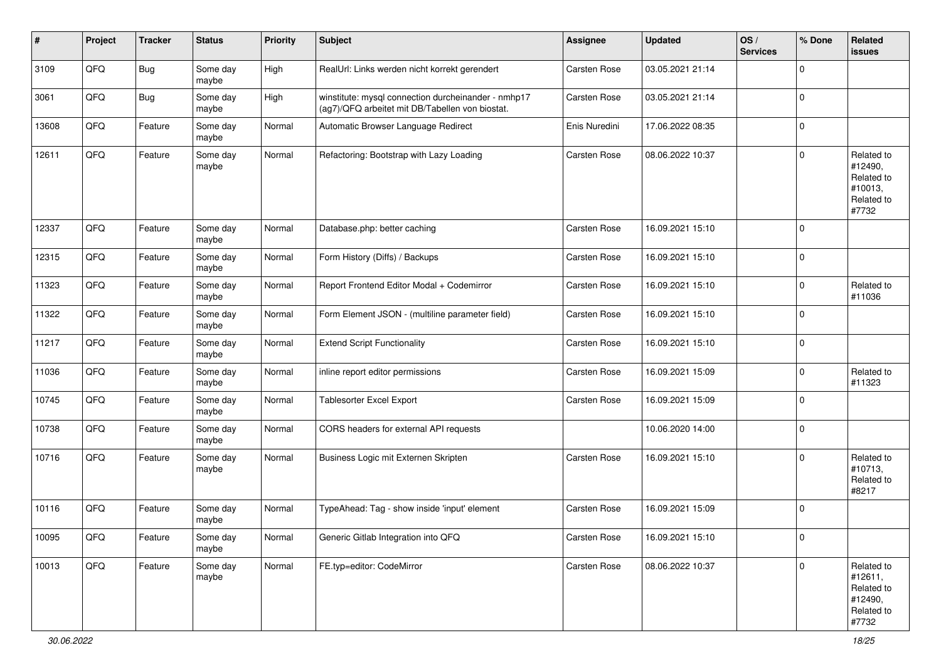| #     | Project | <b>Tracker</b> | <b>Status</b>     | <b>Priority</b> | <b>Subject</b>                                                                                         | <b>Assignee</b>     | <b>Updated</b>   | OS/<br><b>Services</b> | % Done      | Related<br><b>issues</b>                                              |
|-------|---------|----------------|-------------------|-----------------|--------------------------------------------------------------------------------------------------------|---------------------|------------------|------------------------|-------------|-----------------------------------------------------------------------|
| 3109  | QFQ     | <b>Bug</b>     | Some day<br>maybe | High            | RealUrl: Links werden nicht korrekt gerendert                                                          | Carsten Rose        | 03.05.2021 21:14 |                        | 0           |                                                                       |
| 3061  | QFQ     | <b>Bug</b>     | Some day<br>maybe | High            | winstitute: mysql connection durcheinander - nmhp17<br>(ag7)/QFQ arbeitet mit DB/Tabellen von biostat. | Carsten Rose        | 03.05.2021 21:14 |                        | 0           |                                                                       |
| 13608 | QFQ     | Feature        | Some day<br>maybe | Normal          | Automatic Browser Language Redirect                                                                    | Enis Nuredini       | 17.06.2022 08:35 |                        | 0           |                                                                       |
| 12611 | QFQ     | Feature        | Some day<br>maybe | Normal          | Refactoring: Bootstrap with Lazy Loading                                                               | Carsten Rose        | 08.06.2022 10:37 |                        | 0           | Related to<br>#12490,<br>Related to<br>#10013,<br>Related to<br>#7732 |
| 12337 | QFQ     | Feature        | Some day<br>maybe | Normal          | Database.php: better caching                                                                           | Carsten Rose        | 16.09.2021 15:10 |                        | 0           |                                                                       |
| 12315 | QFQ     | Feature        | Some day<br>maybe | Normal          | Form History (Diffs) / Backups                                                                         | Carsten Rose        | 16.09.2021 15:10 |                        | $\mathbf 0$ |                                                                       |
| 11323 | QFQ     | Feature        | Some day<br>maybe | Normal          | Report Frontend Editor Modal + Codemirror                                                              | Carsten Rose        | 16.09.2021 15:10 |                        | 0           | Related to<br>#11036                                                  |
| 11322 | QFQ     | Feature        | Some day<br>maybe | Normal          | Form Element JSON - (multiline parameter field)                                                        | Carsten Rose        | 16.09.2021 15:10 |                        | 0           |                                                                       |
| 11217 | QFQ     | Feature        | Some day<br>maybe | Normal          | <b>Extend Script Functionality</b>                                                                     | Carsten Rose        | 16.09.2021 15:10 |                        | 0           |                                                                       |
| 11036 | QFQ     | Feature        | Some day<br>maybe | Normal          | inline report editor permissions                                                                       | Carsten Rose        | 16.09.2021 15:09 |                        | $\mathbf 0$ | Related to<br>#11323                                                  |
| 10745 | QFQ     | Feature        | Some day<br>maybe | Normal          | Tablesorter Excel Export                                                                               | Carsten Rose        | 16.09.2021 15:09 |                        | 0           |                                                                       |
| 10738 | QFQ     | Feature        | Some day<br>maybe | Normal          | CORS headers for external API requests                                                                 |                     | 10.06.2020 14:00 |                        | 0           |                                                                       |
| 10716 | QFQ     | Feature        | Some day<br>maybe | Normal          | Business Logic mit Externen Skripten                                                                   | Carsten Rose        | 16.09.2021 15:10 |                        | 0           | Related to<br>#10713,<br>Related to<br>#8217                          |
| 10116 | QFQ     | Feature        | Some day<br>maybe | Normal          | TypeAhead: Tag - show inside 'input' element                                                           | <b>Carsten Rose</b> | 16.09.2021 15:09 |                        | 0           |                                                                       |
| 10095 | QFQ     | Feature        | Some day<br>maybe | Normal          | Generic Gitlab Integration into QFQ                                                                    | Carsten Rose        | 16.09.2021 15:10 |                        | $\mathbf 0$ |                                                                       |
| 10013 | QFG     | Feature        | Some day<br>maybe | Normal          | FE.typ=editor: CodeMirror                                                                              | Carsten Rose        | 08.06.2022 10:37 |                        | $\mathbf 0$ | Related to<br>#12611,<br>Related to<br>#12490,<br>Related to<br>#7732 |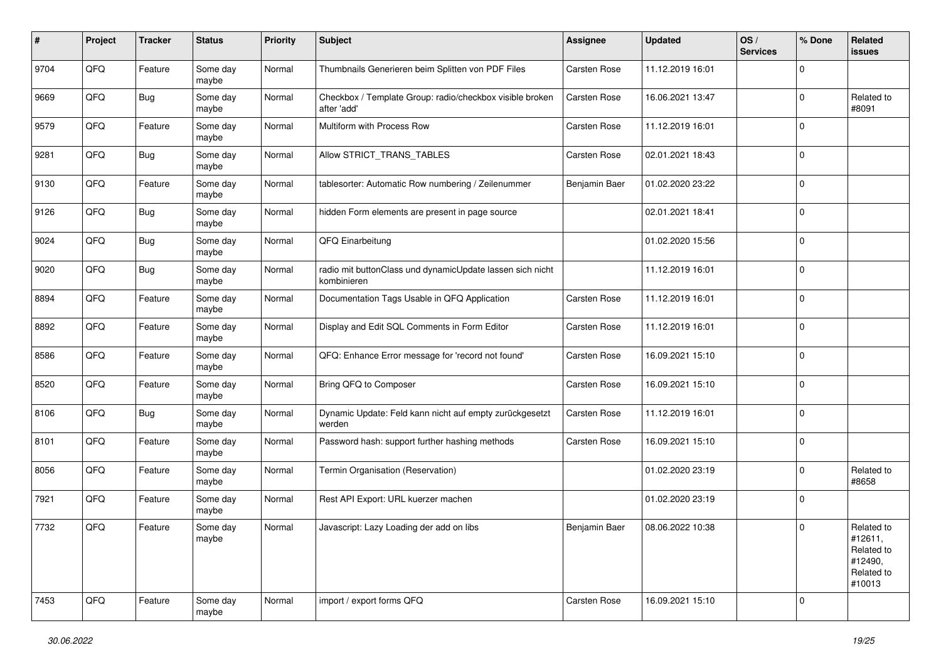| #    | Project | <b>Tracker</b> | <b>Status</b>     | <b>Priority</b> | <b>Subject</b>                                                           | <b>Assignee</b> | <b>Updated</b>   | OS/<br><b>Services</b> | % Done              | Related<br>issues                                                      |
|------|---------|----------------|-------------------|-----------------|--------------------------------------------------------------------------|-----------------|------------------|------------------------|---------------------|------------------------------------------------------------------------|
| 9704 | QFQ     | Feature        | Some day<br>maybe | Normal          | Thumbnails Generieren beim Splitten von PDF Files                        | Carsten Rose    | 11.12.2019 16:01 |                        | $\mathbf 0$         |                                                                        |
| 9669 | QFQ     | <b>Bug</b>     | Some day<br>maybe | Normal          | Checkbox / Template Group: radio/checkbox visible broken<br>after 'add'  | Carsten Rose    | 16.06.2021 13:47 |                        | 0                   | Related to<br>#8091                                                    |
| 9579 | QFQ     | Feature        | Some day<br>maybe | Normal          | Multiform with Process Row                                               | Carsten Rose    | 11.12.2019 16:01 |                        | $\mathbf 0$         |                                                                        |
| 9281 | QFQ     | <b>Bug</b>     | Some day<br>maybe | Normal          | Allow STRICT_TRANS_TABLES                                                | Carsten Rose    | 02.01.2021 18:43 |                        | 0                   |                                                                        |
| 9130 | QFQ     | Feature        | Some day<br>maybe | Normal          | tablesorter: Automatic Row numbering / Zeilenummer                       | Benjamin Baer   | 01.02.2020 23:22 |                        | $\mathbf 0$         |                                                                        |
| 9126 | QFQ     | <b>Bug</b>     | Some day<br>maybe | Normal          | hidden Form elements are present in page source                          |                 | 02.01.2021 18:41 |                        | 0                   |                                                                        |
| 9024 | QFQ     | <b>Bug</b>     | Some day<br>maybe | Normal          | QFQ Einarbeitung                                                         |                 | 01.02.2020 15:56 |                        | $\mathbf 0$         |                                                                        |
| 9020 | QFQ     | <b>Bug</b>     | Some day<br>maybe | Normal          | radio mit buttonClass und dynamicUpdate lassen sich nicht<br>kombinieren |                 | 11.12.2019 16:01 |                        | $\mathbf 0$         |                                                                        |
| 8894 | QFQ     | Feature        | Some day<br>maybe | Normal          | Documentation Tags Usable in QFQ Application                             | Carsten Rose    | 11.12.2019 16:01 |                        | $\mathbf 0$         |                                                                        |
| 8892 | QFQ     | Feature        | Some day<br>maybe | Normal          | Display and Edit SQL Comments in Form Editor                             | Carsten Rose    | 11.12.2019 16:01 |                        | 0                   |                                                                        |
| 8586 | QFQ     | Feature        | Some day<br>maybe | Normal          | QFQ: Enhance Error message for 'record not found'                        | Carsten Rose    | 16.09.2021 15:10 |                        | $\mathbf 0$         |                                                                        |
| 8520 | QFQ     | Feature        | Some day<br>maybe | Normal          | Bring QFQ to Composer                                                    | Carsten Rose    | 16.09.2021 15:10 |                        | $\mathbf 0$         |                                                                        |
| 8106 | QFQ     | Bug            | Some day<br>maybe | Normal          | Dynamic Update: Feld kann nicht auf empty zurückgesetzt<br>werden        | Carsten Rose    | 11.12.2019 16:01 |                        | 0                   |                                                                        |
| 8101 | QFQ     | Feature        | Some day<br>maybe | Normal          | Password hash: support further hashing methods                           | Carsten Rose    | 16.09.2021 15:10 |                        | $\mathsf{O}\xspace$ |                                                                        |
| 8056 | QFQ     | Feature        | Some day<br>maybe | Normal          | Termin Organisation (Reservation)                                        |                 | 01.02.2020 23:19 |                        | $\mathbf 0$         | Related to<br>#8658                                                    |
| 7921 | QFQ     | Feature        | Some day<br>maybe | Normal          | Rest API Export: URL kuerzer machen                                      |                 | 01.02.2020 23:19 |                        | $\mathbf 0$         |                                                                        |
| 7732 | QFQ     | Feature        | Some day<br>maybe | Normal          | Javascript: Lazy Loading der add on libs                                 | Beniamin Baer   | 08.06.2022 10:38 |                        | $\mathbf 0$         | Related to<br>#12611,<br>Related to<br>#12490,<br>Related to<br>#10013 |
| 7453 | QFQ     | Feature        | Some day<br>maybe | Normal          | import / export forms QFQ                                                | Carsten Rose    | 16.09.2021 15:10 |                        | $\mathbf 0$         |                                                                        |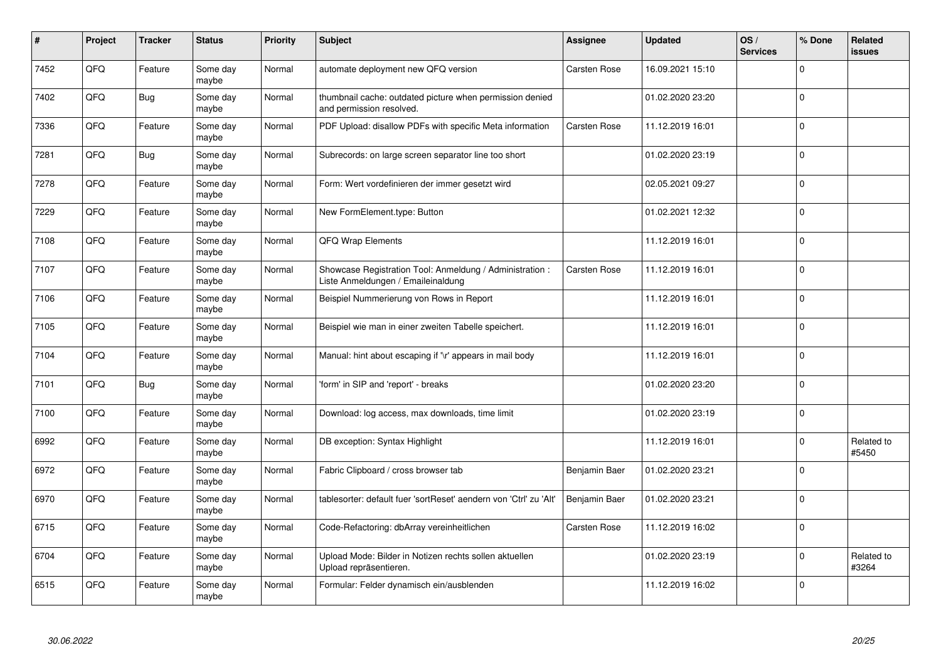| #    | Project | <b>Tracker</b> | <b>Status</b>     | <b>Priority</b> | <b>Subject</b>                                                                                 | Assignee      | <b>Updated</b>   | OS/<br><b>Services</b> | % Done       | <b>Related</b><br>issues |
|------|---------|----------------|-------------------|-----------------|------------------------------------------------------------------------------------------------|---------------|------------------|------------------------|--------------|--------------------------|
| 7452 | QFQ     | Feature        | Some day<br>maybe | Normal          | automate deployment new QFQ version                                                            | Carsten Rose  | 16.09.2021 15:10 |                        | $\Omega$     |                          |
| 7402 | QFQ     | <b>Bug</b>     | Some day<br>maybe | Normal          | thumbnail cache: outdated picture when permission denied<br>and permission resolved.           |               | 01.02.2020 23:20 |                        | 0            |                          |
| 7336 | QFQ     | Feature        | Some day<br>maybe | Normal          | PDF Upload: disallow PDFs with specific Meta information                                       | Carsten Rose  | 11.12.2019 16:01 |                        | 0            |                          |
| 7281 | QFQ     | <b>Bug</b>     | Some day<br>maybe | Normal          | Subrecords: on large screen separator line too short                                           |               | 01.02.2020 23:19 |                        | $\Omega$     |                          |
| 7278 | QFQ     | Feature        | Some day<br>maybe | Normal          | Form: Wert vordefinieren der immer gesetzt wird                                                |               | 02.05.2021 09:27 |                        | $\mathbf 0$  |                          |
| 7229 | QFQ     | Feature        | Some day<br>maybe | Normal          | New FormElement.type: Button                                                                   |               | 01.02.2021 12:32 |                        | $\mathbf{0}$ |                          |
| 7108 | QFQ     | Feature        | Some day<br>maybe | Normal          | QFQ Wrap Elements                                                                              |               | 11.12.2019 16:01 |                        | $\mathbf 0$  |                          |
| 7107 | QFQ     | Feature        | Some day<br>maybe | Normal          | Showcase Registration Tool: Anmeldung / Administration :<br>Liste Anmeldungen / Emaileinaldung | Carsten Rose  | 11.12.2019 16:01 |                        | 0            |                          |
| 7106 | QFQ     | Feature        | Some day<br>maybe | Normal          | Beispiel Nummerierung von Rows in Report                                                       |               | 11.12.2019 16:01 |                        | $\Omega$     |                          |
| 7105 | QFQ     | Feature        | Some day<br>maybe | Normal          | Beispiel wie man in einer zweiten Tabelle speichert.                                           |               | 11.12.2019 16:01 |                        | $\mathbf 0$  |                          |
| 7104 | QFQ     | Feature        | Some day<br>maybe | Normal          | Manual: hint about escaping if '\r' appears in mail body                                       |               | 11.12.2019 16:01 |                        | $\mathbf 0$  |                          |
| 7101 | QFQ     | <b>Bug</b>     | Some day<br>maybe | Normal          | form' in SIP and 'report' - breaks                                                             |               | 01.02.2020 23:20 |                        | $\mathbf 0$  |                          |
| 7100 | QFQ     | Feature        | Some day<br>maybe | Normal          | Download: log access, max downloads, time limit                                                |               | 01.02.2020 23:19 |                        | $\mathbf 0$  |                          |
| 6992 | QFQ     | Feature        | Some day<br>maybe | Normal          | DB exception: Syntax Highlight                                                                 |               | 11.12.2019 16:01 |                        | 0            | Related to<br>#5450      |
| 6972 | QFQ     | Feature        | Some day<br>maybe | Normal          | Fabric Clipboard / cross browser tab                                                           | Benjamin Baer | 01.02.2020 23:21 |                        | $\Omega$     |                          |
| 6970 | QFQ     | Feature        | Some day<br>maybe | Normal          | tablesorter: default fuer 'sortReset' aendern von 'Ctrl' zu 'Alt'                              | Benjamin Baer | 01.02.2020 23:21 |                        | $\Omega$     |                          |
| 6715 | QFQ     | Feature        | Some day<br>maybe | Normal          | Code-Refactoring: dbArray vereinheitlichen                                                     | Carsten Rose  | 11.12.2019 16:02 |                        | $\mathbf 0$  |                          |
| 6704 | QFQ     | Feature        | Some day<br>maybe | Normal          | Upload Mode: Bilder in Notizen rechts sollen aktuellen<br>Upload repräsentieren.               |               | 01.02.2020 23:19 |                        | 0            | Related to<br>#3264      |
| 6515 | QFQ     | Feature        | Some day<br>maybe | Normal          | Formular: Felder dynamisch ein/ausblenden                                                      |               | 11.12.2019 16:02 |                        | $\Omega$     |                          |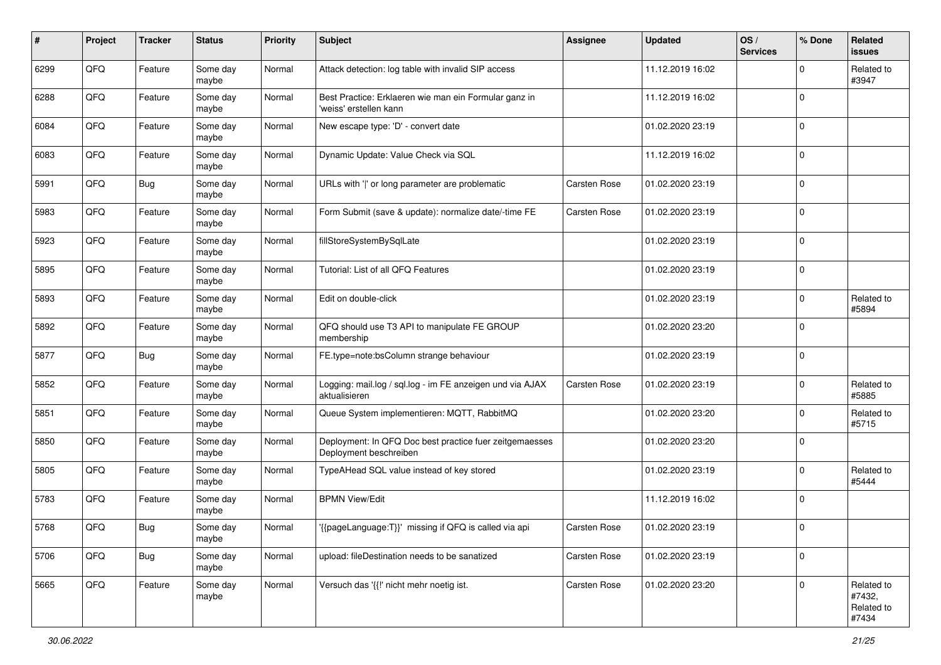| #    | Project | <b>Tracker</b> | <b>Status</b>     | <b>Priority</b> | Subject                                                                           | <b>Assignee</b>     | <b>Updated</b>   | OS/<br><b>Services</b> | % Done      | Related<br><b>issues</b>                    |
|------|---------|----------------|-------------------|-----------------|-----------------------------------------------------------------------------------|---------------------|------------------|------------------------|-------------|---------------------------------------------|
| 6299 | QFQ     | Feature        | Some day<br>maybe | Normal          | Attack detection: log table with invalid SIP access                               |                     | 11.12.2019 16:02 |                        | $\mathbf 0$ | Related to<br>#3947                         |
| 6288 | QFQ     | Feature        | Some day<br>maybe | Normal          | Best Practice: Erklaeren wie man ein Formular ganz in<br>'weiss' erstellen kann   |                     | 11.12.2019 16:02 |                        | $\mathbf 0$ |                                             |
| 6084 | QFQ     | Feature        | Some day<br>maybe | Normal          | New escape type: 'D' - convert date                                               |                     | 01.02.2020 23:19 |                        | $\Omega$    |                                             |
| 6083 | QFQ     | Feature        | Some day<br>maybe | Normal          | Dynamic Update: Value Check via SQL                                               |                     | 11.12.2019 16:02 |                        | $\mathbf 0$ |                                             |
| 5991 | QFQ     | <b>Bug</b>     | Some day<br>maybe | Normal          | URLs with ' ' or long parameter are problematic                                   | Carsten Rose        | 01.02.2020 23:19 |                        | $\mathbf 0$ |                                             |
| 5983 | QFQ     | Feature        | Some day<br>maybe | Normal          | Form Submit (save & update): normalize date/-time FE                              | Carsten Rose        | 01.02.2020 23:19 |                        | $\mathbf 0$ |                                             |
| 5923 | QFQ     | Feature        | Some day<br>maybe | Normal          | fillStoreSystemBySqlLate                                                          |                     | 01.02.2020 23:19 |                        | $\mathbf 0$ |                                             |
| 5895 | QFQ     | Feature        | Some day<br>maybe | Normal          | Tutorial: List of all QFQ Features                                                |                     | 01.02.2020 23:19 |                        | $\mathbf 0$ |                                             |
| 5893 | QFQ     | Feature        | Some day<br>maybe | Normal          | Edit on double-click                                                              |                     | 01.02.2020 23:19 |                        | $\mathbf 0$ | Related to<br>#5894                         |
| 5892 | QFQ     | Feature        | Some day<br>maybe | Normal          | QFQ should use T3 API to manipulate FE GROUP<br>membership                        |                     | 01.02.2020 23:20 |                        | $\mathbf 0$ |                                             |
| 5877 | QFQ     | <b>Bug</b>     | Some day<br>maybe | Normal          | FE.type=note:bsColumn strange behaviour                                           |                     | 01.02.2020 23:19 |                        | $\mathbf 0$ |                                             |
| 5852 | QFQ     | Feature        | Some day<br>maybe | Normal          | Logging: mail.log / sql.log - im FE anzeigen und via AJAX<br>aktualisieren        | Carsten Rose        | 01.02.2020 23:19 |                        | $\mathbf 0$ | Related to<br>#5885                         |
| 5851 | QFQ     | Feature        | Some day<br>maybe | Normal          | Queue System implementieren: MQTT, RabbitMQ                                       |                     | 01.02.2020 23:20 |                        | $\Omega$    | Related to<br>#5715                         |
| 5850 | QFQ     | Feature        | Some day<br>maybe | Normal          | Deployment: In QFQ Doc best practice fuer zeitgemaesses<br>Deployment beschreiben |                     | 01.02.2020 23:20 |                        | $\mathbf 0$ |                                             |
| 5805 | QFQ     | Feature        | Some day<br>maybe | Normal          | TypeAHead SQL value instead of key stored                                         |                     | 01.02.2020 23:19 |                        | $\mathbf 0$ | Related to<br>#5444                         |
| 5783 | QFQ     | Feature        | Some day<br>maybe | Normal          | <b>BPMN View/Edit</b>                                                             |                     | 11.12.2019 16:02 |                        | $\mathbf 0$ |                                             |
| 5768 | QFQ     | Bug            | Some day<br>maybe | Normal          | '{{pageLanguage:T}}' missing if QFQ is called via api                             | <b>Carsten Rose</b> | 01.02.2020 23:19 |                        | $\mathbf 0$ |                                             |
| 5706 | QFQ     | <b>Bug</b>     | Some day<br>maybe | Normal          | upload: fileDestination needs to be sanatized                                     | Carsten Rose        | 01.02.2020 23:19 |                        | $\mathbf 0$ |                                             |
| 5665 | QFQ     | Feature        | Some day<br>maybe | Normal          | Versuch das '{{!' nicht mehr noetig ist.                                          | Carsten Rose        | 01.02.2020 23:20 |                        | $\mathbf 0$ | Related to<br>#7432,<br>Related to<br>#7434 |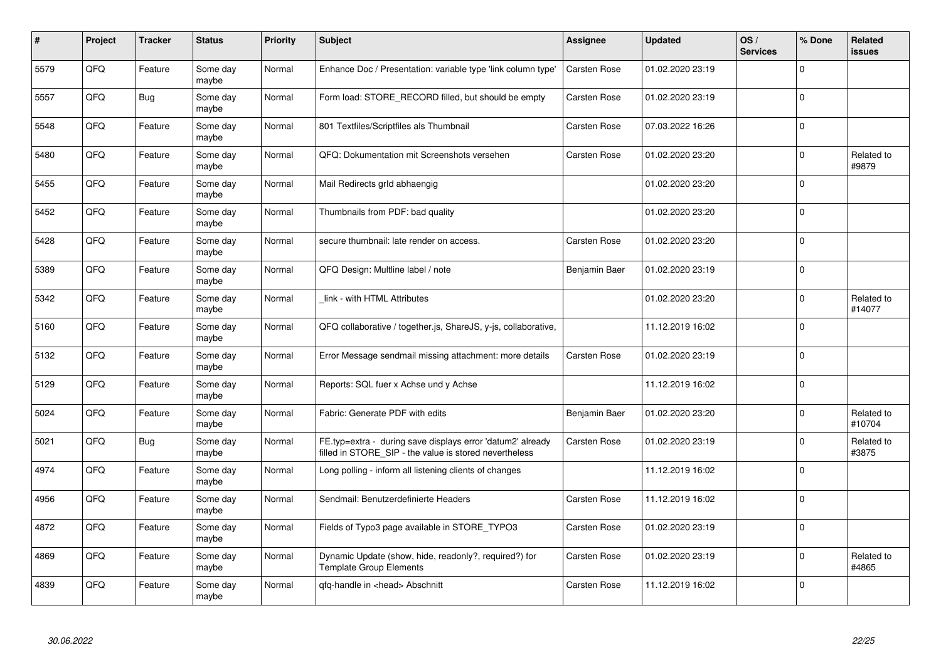| #    | Project | <b>Tracker</b> | <b>Status</b>     | <b>Priority</b> | <b>Subject</b>                                                                                                       | <b>Assignee</b>     | <b>Updated</b>   | OS/<br><b>Services</b> | % Done      | <b>Related</b><br>issues |
|------|---------|----------------|-------------------|-----------------|----------------------------------------------------------------------------------------------------------------------|---------------------|------------------|------------------------|-------------|--------------------------|
| 5579 | QFQ     | Feature        | Some day<br>maybe | Normal          | Enhance Doc / Presentation: variable type 'link column type'                                                         | <b>Carsten Rose</b> | 01.02.2020 23:19 |                        | $\mathbf 0$ |                          |
| 5557 | QFQ     | <b>Bug</b>     | Some day<br>maybe | Normal          | Form load: STORE_RECORD filled, but should be empty                                                                  | Carsten Rose        | 01.02.2020 23:19 |                        | $\mathbf 0$ |                          |
| 5548 | QFQ     | Feature        | Some day<br>maybe | Normal          | 801 Textfiles/Scriptfiles als Thumbnail                                                                              | Carsten Rose        | 07.03.2022 16:26 |                        | $\mathbf 0$ |                          |
| 5480 | QFQ     | Feature        | Some day<br>maybe | Normal          | QFQ: Dokumentation mit Screenshots versehen                                                                          | Carsten Rose        | 01.02.2020 23:20 |                        | $\mathbf 0$ | Related to<br>#9879      |
| 5455 | QFQ     | Feature        | Some day<br>maybe | Normal          | Mail Redirects grld abhaengig                                                                                        |                     | 01.02.2020 23:20 |                        | $\Omega$    |                          |
| 5452 | QFQ     | Feature        | Some day<br>maybe | Normal          | Thumbnails from PDF: bad quality                                                                                     |                     | 01.02.2020 23:20 |                        | $\mathbf 0$ |                          |
| 5428 | QFQ     | Feature        | Some day<br>maybe | Normal          | secure thumbnail: late render on access.                                                                             | Carsten Rose        | 01.02.2020 23:20 |                        | $\Omega$    |                          |
| 5389 | QFQ     | Feature        | Some day<br>maybe | Normal          | QFQ Design: Multline label / note                                                                                    | Benjamin Baer       | 01.02.2020 23:19 |                        | $\mathbf 0$ |                          |
| 5342 | QFQ     | Feature        | Some day<br>maybe | Normal          | link - with HTML Attributes                                                                                          |                     | 01.02.2020 23:20 |                        | $\mathbf 0$ | Related to<br>#14077     |
| 5160 | QFQ     | Feature        | Some day<br>maybe | Normal          | QFQ collaborative / together.js, ShareJS, y-js, collaborative,                                                       |                     | 11.12.2019 16:02 |                        | $\Omega$    |                          |
| 5132 | QFQ     | Feature        | Some day<br>maybe | Normal          | Error Message sendmail missing attachment: more details                                                              | Carsten Rose        | 01.02.2020 23:19 |                        | $\mathbf 0$ |                          |
| 5129 | QFQ     | Feature        | Some day<br>maybe | Normal          | Reports: SQL fuer x Achse und y Achse                                                                                |                     | 11.12.2019 16:02 |                        | $\Omega$    |                          |
| 5024 | QFQ     | Feature        | Some day<br>maybe | Normal          | Fabric: Generate PDF with edits                                                                                      | Benjamin Baer       | 01.02.2020 23:20 |                        | $\mathbf 0$ | Related to<br>#10704     |
| 5021 | QFQ     | Bug            | Some day<br>maybe | Normal          | FE.typ=extra - during save displays error 'datum2' already<br>filled in STORE_SIP - the value is stored nevertheless | Carsten Rose        | 01.02.2020 23:19 |                        | $\mathbf 0$ | Related to<br>#3875      |
| 4974 | QFQ     | Feature        | Some day<br>maybe | Normal          | Long polling - inform all listening clients of changes                                                               |                     | 11.12.2019 16:02 |                        | $\mathbf 0$ |                          |
| 4956 | QFQ     | Feature        | Some day<br>maybe | Normal          | Sendmail: Benutzerdefinierte Headers                                                                                 | Carsten Rose        | 11.12.2019 16:02 |                        | $\mathbf 0$ |                          |
| 4872 | QFQ     | Feature        | Some day<br>maybe | Normal          | Fields of Typo3 page available in STORE_TYPO3                                                                        | Carsten Rose        | 01.02.2020 23:19 |                        | $\mathbf 0$ |                          |
| 4869 | QFQ     | Feature        | Some day<br>maybe | Normal          | Dynamic Update (show, hide, readonly?, required?) for<br><b>Template Group Elements</b>                              | Carsten Rose        | 01.02.2020 23:19 |                        | $\mathbf 0$ | Related to<br>#4865      |
| 4839 | QFQ     | Feature        | Some day<br>maybe | Normal          | qfq-handle in <head> Abschnitt</head>                                                                                | Carsten Rose        | 11.12.2019 16:02 |                        | $\Omega$    |                          |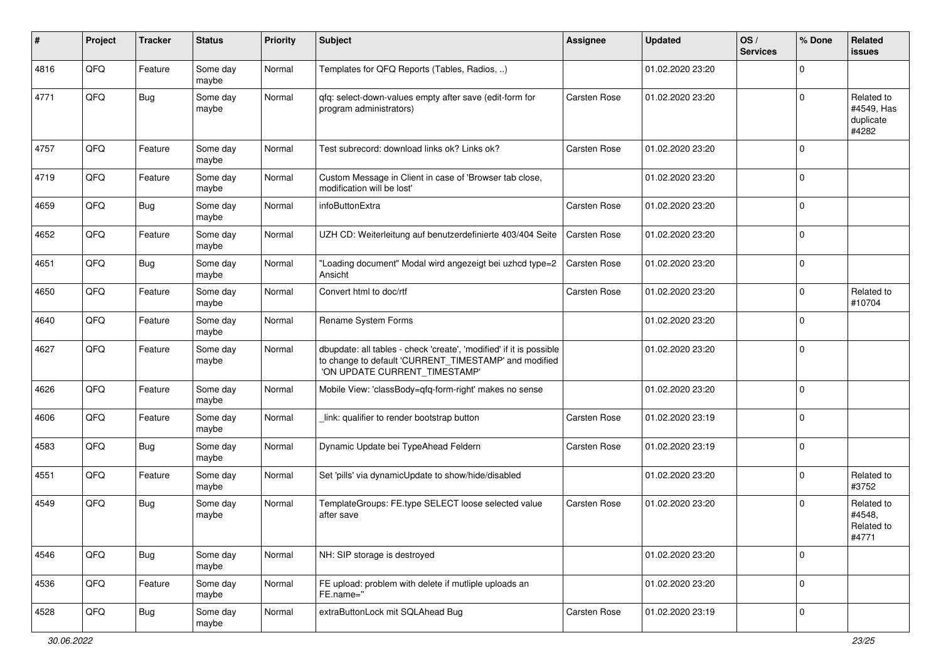| ∦    | Project | <b>Tracker</b> | <b>Status</b>     | <b>Priority</b> | <b>Subject</b>                                                                                                                                                | <b>Assignee</b> | <b>Updated</b>   | OS/<br><b>Services</b> | % Done      | Related<br>issues                              |
|------|---------|----------------|-------------------|-----------------|---------------------------------------------------------------------------------------------------------------------------------------------------------------|-----------------|------------------|------------------------|-------------|------------------------------------------------|
| 4816 | QFQ     | Feature        | Some day<br>maybe | Normal          | Templates for QFQ Reports (Tables, Radios, )                                                                                                                  |                 | 01.02.2020 23:20 |                        | $\mathbf 0$ |                                                |
| 4771 | QFQ     | Bug            | Some day<br>maybe | Normal          | qfq: select-down-values empty after save (edit-form for<br>program administrators)                                                                            | Carsten Rose    | 01.02.2020 23:20 |                        | $\Omega$    | Related to<br>#4549, Has<br>duplicate<br>#4282 |
| 4757 | QFQ     | Feature        | Some day<br>maybe | Normal          | Test subrecord: download links ok? Links ok?                                                                                                                  | Carsten Rose    | 01.02.2020 23:20 |                        | $\Omega$    |                                                |
| 4719 | QFQ     | Feature        | Some day<br>maybe | Normal          | Custom Message in Client in case of 'Browser tab close,<br>modification will be lost'                                                                         |                 | 01.02.2020 23:20 |                        | $\Omega$    |                                                |
| 4659 | QFQ     | Bug            | Some day<br>maybe | Normal          | infoButtonExtra                                                                                                                                               | Carsten Rose    | 01.02.2020 23:20 |                        | $\Omega$    |                                                |
| 4652 | QFQ     | Feature        | Some day<br>maybe | Normal          | UZH CD: Weiterleitung auf benutzerdefinierte 403/404 Seite                                                                                                    | Carsten Rose    | 01.02.2020 23:20 |                        | $\Omega$    |                                                |
| 4651 | QFQ     | <b>Bug</b>     | Some day<br>maybe | Normal          | "Loading document" Modal wird angezeigt bei uzhcd type=2<br>Ansicht                                                                                           | Carsten Rose    | 01.02.2020 23:20 |                        | $\Omega$    |                                                |
| 4650 | QFQ     | Feature        | Some day<br>maybe | Normal          | Convert html to doc/rtf                                                                                                                                       | Carsten Rose    | 01.02.2020 23:20 |                        | 0           | Related to<br>#10704                           |
| 4640 | QFQ     | Feature        | Some day<br>maybe | Normal          | Rename System Forms                                                                                                                                           |                 | 01.02.2020 23:20 |                        | $\Omega$    |                                                |
| 4627 | QFQ     | Feature        | Some day<br>maybe | Normal          | dbupdate: all tables - check 'create', 'modified' if it is possible<br>to change to default 'CURRENT_TIMESTAMP' and modified<br>'ON UPDATE CURRENT_TIMESTAMP' |                 | 01.02.2020 23:20 |                        | $\mathbf 0$ |                                                |
| 4626 | QFQ     | Feature        | Some day<br>maybe | Normal          | Mobile View: 'classBody=qfq-form-right' makes no sense                                                                                                        |                 | 01.02.2020 23:20 |                        | 0           |                                                |
| 4606 | QFQ     | Feature        | Some day<br>maybe | Normal          | link: qualifier to render bootstrap button                                                                                                                    | Carsten Rose    | 01.02.2020 23:19 |                        | $\mathbf 0$ |                                                |
| 4583 | QFQ     | Bug            | Some day<br>maybe | Normal          | Dynamic Update bei TypeAhead Feldern                                                                                                                          | Carsten Rose    | 01.02.2020 23:19 |                        | 0           |                                                |
| 4551 | QFQ     | Feature        | Some day<br>maybe | Normal          | Set 'pills' via dynamicUpdate to show/hide/disabled                                                                                                           |                 | 01.02.2020 23:20 |                        | $\Omega$    | Related to<br>#3752                            |
| 4549 | QFQ     | <b>Bug</b>     | Some day<br>maybe | Normal          | TemplateGroups: FE.type SELECT loose selected value<br>after save                                                                                             | Carsten Rose    | 01.02.2020 23:20 |                        | $\Omega$    | Related to<br>#4548.<br>Related to<br>#4771    |
| 4546 | QFQ     | <b>Bug</b>     | Some day<br>maybe | Normal          | NH: SIP storage is destroyed                                                                                                                                  |                 | 01.02.2020 23:20 |                        | 0           |                                                |
| 4536 | QFQ     | Feature        | Some day<br>maybe | Normal          | FE upload: problem with delete if mutliple uploads an<br>FE.name="                                                                                            |                 | 01.02.2020 23:20 |                        | $\mathbf 0$ |                                                |
| 4528 | QFQ     | Bug            | Some day<br>maybe | Normal          | extraButtonLock mit SQLAhead Bug                                                                                                                              | Carsten Rose    | 01.02.2020 23:19 |                        | $\pmb{0}$   |                                                |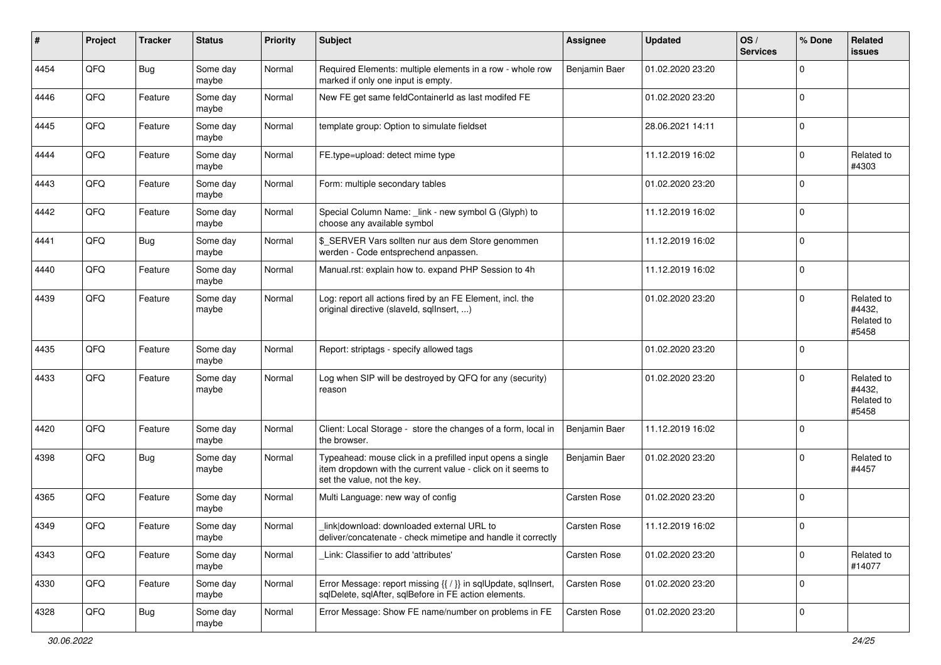| $\vert$ # | Project | <b>Tracker</b> | <b>Status</b>     | <b>Priority</b> | <b>Subject</b>                                                                                                                                           | <b>Assignee</b> | <b>Updated</b>   | OS/<br><b>Services</b> | % Done      | Related<br>issues                           |
|-----------|---------|----------------|-------------------|-----------------|----------------------------------------------------------------------------------------------------------------------------------------------------------|-----------------|------------------|------------------------|-------------|---------------------------------------------|
| 4454      | QFQ     | <b>Bug</b>     | Some day<br>maybe | Normal          | Required Elements: multiple elements in a row - whole row<br>marked if only one input is empty.                                                          | Benjamin Baer   | 01.02.2020 23:20 |                        | $\mathbf 0$ |                                             |
| 4446      | QFQ     | Feature        | Some day<br>maybe | Normal          | New FE get same feldContainerId as last modifed FE                                                                                                       |                 | 01.02.2020 23:20 |                        | 0           |                                             |
| 4445      | QFQ     | Feature        | Some day<br>maybe | Normal          | template group: Option to simulate fieldset                                                                                                              |                 | 28.06.2021 14:11 |                        | 0           |                                             |
| 4444      | QFQ     | Feature        | Some day<br>maybe | Normal          | FE.type=upload: detect mime type                                                                                                                         |                 | 11.12.2019 16:02 |                        | 0           | Related to<br>#4303                         |
| 4443      | QFQ     | Feature        | Some day<br>maybe | Normal          | Form: multiple secondary tables                                                                                                                          |                 | 01.02.2020 23:20 |                        | $\mathbf 0$ |                                             |
| 4442      | QFQ     | Feature        | Some day<br>maybe | Normal          | Special Column Name: _link - new symbol G (Glyph) to<br>choose any available symbol                                                                      |                 | 11.12.2019 16:02 |                        | 0           |                                             |
| 4441      | QFQ     | <b>Bug</b>     | Some day<br>maybe | Normal          | \$_SERVER Vars sollten nur aus dem Store genommen<br>werden - Code entsprechend anpassen.                                                                |                 | 11.12.2019 16:02 |                        | $\mathbf 0$ |                                             |
| 4440      | QFQ     | Feature        | Some day<br>maybe | Normal          | Manual.rst: explain how to. expand PHP Session to 4h                                                                                                     |                 | 11.12.2019 16:02 |                        | 0           |                                             |
| 4439      | QFQ     | Feature        | Some day<br>maybe | Normal          | Log: report all actions fired by an FE Element, incl. the<br>original directive (slaveld, sqlInsert, )                                                   |                 | 01.02.2020 23:20 |                        | $\Omega$    | Related to<br>#4432,<br>Related to<br>#5458 |
| 4435      | QFQ     | Feature        | Some day<br>maybe | Normal          | Report: striptags - specify allowed tags                                                                                                                 |                 | 01.02.2020 23:20 |                        | $\mathbf 0$ |                                             |
| 4433      | QFQ     | Feature        | Some day<br>maybe | Normal          | Log when SIP will be destroyed by QFQ for any (security)<br>reason                                                                                       |                 | 01.02.2020 23:20 |                        | $\Omega$    | Related to<br>#4432,<br>Related to<br>#5458 |
| 4420      | QFQ     | Feature        | Some day<br>maybe | Normal          | Client: Local Storage - store the changes of a form, local in<br>the browser.                                                                            | Benjamin Baer   | 11.12.2019 16:02 |                        | 0           |                                             |
| 4398      | QFQ     | Bug            | Some day<br>maybe | Normal          | Typeahead: mouse click in a prefilled input opens a single<br>item dropdown with the current value - click on it seems to<br>set the value, not the key. | Benjamin Baer   | 01.02.2020 23:20 |                        | 0           | Related to<br>#4457                         |
| 4365      | QFQ     | Feature        | Some day<br>maybe | Normal          | Multi Language: new way of config                                                                                                                        | Carsten Rose    | 01.02.2020 23:20 |                        | $\mathbf 0$ |                                             |
| 4349      | QFQ     | Feature        | Some day<br>maybe | Normal          | link download: downloaded external URL to<br>deliver/concatenate - check mimetipe and handle it correctly                                                | Carsten Rose    | 11.12.2019 16:02 |                        | 0           |                                             |
| 4343      | QFQ     | Feature        | Some day<br>maybe | Normal          | Link: Classifier to add 'attributes'                                                                                                                     | Carsten Rose    | 01.02.2020 23:20 |                        | 0           | Related to<br>#14077                        |
| 4330      | QFQ     | Feature        | Some day<br>maybe | Normal          | Error Message: report missing {{ / }} in sqlUpdate, sqlInsert,<br>sqlDelete, sqlAfter, sqlBefore in FE action elements.                                  | Carsten Rose    | 01.02.2020 23:20 |                        | $\mathbf 0$ |                                             |
| 4328      | QFQ     | <b>Bug</b>     | Some day<br>maybe | Normal          | Error Message: Show FE name/number on problems in FE                                                                                                     | Carsten Rose    | 01.02.2020 23:20 |                        | $\pmb{0}$   |                                             |